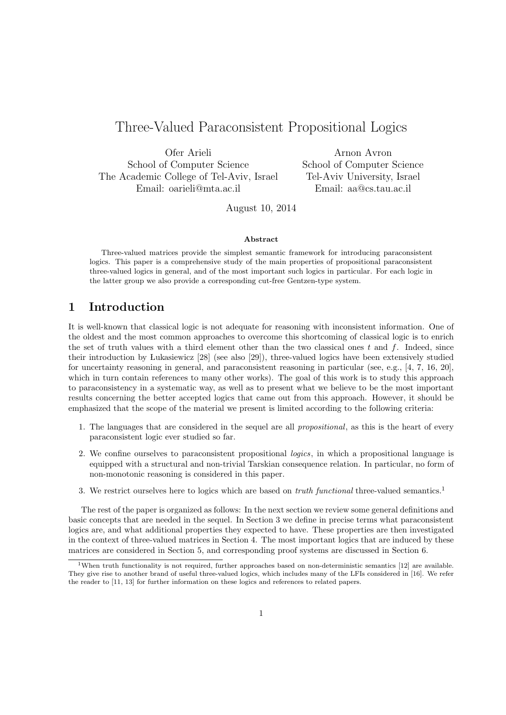# Three-Valued Paraconsistent Propositional Logics

Ofer Arieli School of Computer Science The Academic College of Tel-Aviv, Israel Email: oarieli@mta.ac.il

Arnon Avron School of Computer Science Tel-Aviv University, Israel Email: aa@cs.tau.ac.il

August 10, 2014

#### **Abstract**

Three-valued matrices provide the simplest semantic framework for introducing paraconsistent logics. This paper is a comprehensive study of the main properties of propositional paraconsistent three-valued logics in general, and of the most important such logics in particular. For each logic in the latter group we also provide a corresponding cut-free Gentzen-type system.

# **1 Introduction**

It is well-known that classical logic is not adequate for reasoning with inconsistent information. One of the oldest and the most common approaches to overcome this shortcoming of classical logic is to enrich the set of truth values with a third element other than the two classical ones *t* and *f*. Indeed, since their introduction by Lukasiewicz [28] (see also [29]), three-valued logics have been extensively studied for uncertainty reasoning in general, and paraconsistent reasoning in particular (see, e.g., [4, 7, 16, 20], which in turn contain references to many other works). The goal of this work is to study this approach to paraconsistency in a systematic way, as well as to present what we believe to be the most important results concerning the better accepted logics that came out from this approach. However, it should be emphasized that the scope of the material we present is limited according to the following criteria:

- 1. The languages that are considered in the sequel are all *propositional*, as this is the heart of every paraconsistent logic ever studied so far.
- 2. We confine ourselves to paraconsistent propositional *logics*, in which a propositional language is equipped with a structural and non-trivial Tarskian consequence relation. In particular, no form of non-monotonic reasoning is considered in this paper.
- 3. We restrict ourselves here to logics which are based on *truth functional* three-valued semantics.<sup>1</sup>

The rest of the paper is organized as follows: In the next section we review some general definitions and basic concepts that are needed in the sequel. In Section 3 we define in precise terms what paraconsistent logics are, and what additional properties they expected to have. These properties are then investigated in the context of three-valued matrices in Section 4. The most important logics that are induced by these matrices are considered in Section 5, and corresponding proof systems are discussed in Section 6.

<sup>&</sup>lt;sup>1</sup>When truth functionality is not required, further approaches based on non-deterministic semantics [12] are available. They give rise to another brand of useful three-valued logics, which includes many of the LFIs considered in [16]. We refer the reader to [11, 13] for further information on these logics and references to related papers.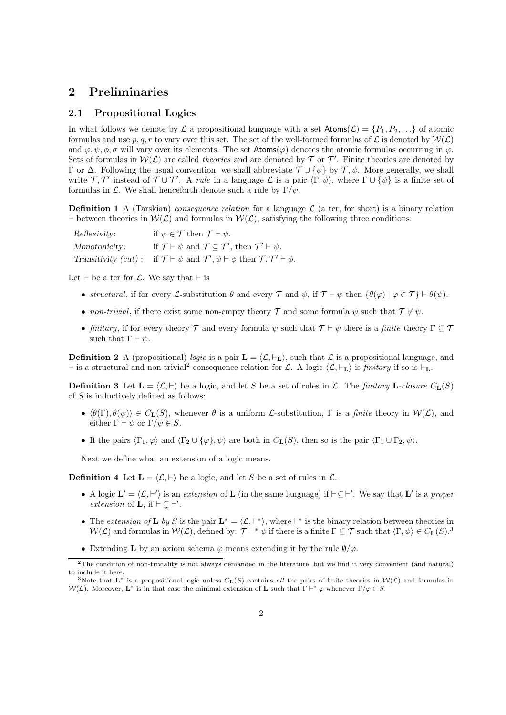# **2 Preliminaries**

## **2.1 Propositional Logics**

In what follows we denote by  $\mathcal L$  a propositional language with a set  $\text{Atoms}(\mathcal L) = \{P_1, P_2, \ldots\}$  of atomic formulas and use  $p, q, r$  to vary over this set. The set of the well-formed formulas of  $\mathcal L$  is denoted by  $\mathcal W(\mathcal L)$ and  $\varphi, \psi, \phi, \sigma$  will vary over its elements. The set Atoms( $\varphi$ ) denotes the atomic formulas occurring in  $\varphi$ . Sets of formulas in  $W(\mathcal{L})$  are called *theories* and are denoted by  $\mathcal{T}$  or  $\mathcal{T}'$ . Finite theories are denoted by Γ or ∆. Following the usual convention, we shall abbreviate *T ∪ {ψ}* by *T , ψ*. More generally, we shall write  $\mathcal{T}, \mathcal{T}'$  instead of  $\mathcal{T} \cup \mathcal{T}'$ . A *rule* in a language  $\mathcal{L}$  is a pair  $\langle \Gamma, \psi \rangle$ , where  $\Gamma \cup \{\psi\}$  is a finite set of formulas in *L*. We shall henceforth denote such a rule by  $\Gamma/\psi$ .

**Definition 1** A (Tarskian) *consequence relation* for a language  $\mathcal{L}$  (a tcr, for short) is a binary relation *⊢* between theories in *W*(*L*) and formulas in *W*(*L*), satisfying the following three conditions:

| Reflexivity:  | if $\psi \in \mathcal{T}$ then $\mathcal{T} \vdash \psi$ .                                                                           |
|---------------|--------------------------------------------------------------------------------------------------------------------------------------|
| Monotonicity: | if $\mathcal{T} \vdash \psi$ and $\mathcal{T} \subseteq \mathcal{T}'$ , then $\mathcal{T}' \vdash \psi$ .                            |
|               | Transitivity (cut): if $\mathcal{T} \vdash \psi$ and $\mathcal{T}', \psi \vdash \phi$ then $\mathcal{T}, \mathcal{T}' \vdash \phi$ . |

Let *⊢* be a tcr for *L*. We say that *⊢* is

- $\bullet$  *structural*, if for every *L*-substitution *θ* and every *T* and  $\psi$ , if  $T \vdash \psi$  then  $\{\theta(\varphi) \mid \varphi \in T\} \vdash \theta(\psi)$ .
- *non-trivial*, if there exist some non-empty theory  $\mathcal T$  and some formula  $\psi$  such that  $\mathcal T \nvDash \psi$ .
- *• finitary*, if for every theory *T* and every formula *ψ* such that *T ⊢ ψ* there is a *finite* theory Γ *⊆ T* such that  $\Gamma \vdash \psi$ .

**Definition 2** A (propositional) *logic* is a pair  $\mathbf{L} = \langle \mathcal{L}, \vdash_{\mathbf{L}} \rangle$ , such that  $\mathcal{L}$  is a propositional language, and *⊢* is a structural and non-trivial<sup>2</sup> consequence relation for *L*. A logic *⟨L, ⊢***L***⟩* is *finitary* if so is *⊢***L**.

**Definition 3** Let  $\mathbf{L} = \langle \mathcal{L}, \vdash \rangle$  be a logic, and let *S* be a set of rules in  $\mathcal{L}$ . The *finitary* **L**-closure  $C_{\mathbf{L}}(S)$ of *S* is inductively defined as follows:

- **•**  $\langle \theta(\Gamma), \theta(\psi) \rangle \in C_{\mathbf{L}}(S)$ , whenever  $\theta$  is a uniform *L*-substitution,  $\Gamma$  is a *finite* theory in  $W(\mathcal{L})$ , and either  $\Gamma \vdash \psi$  or  $\Gamma/\psi \in S$ .
- If the pairs  $\langle \Gamma_1, \varphi \rangle$  and  $\langle \Gamma_2 \cup {\varphi}, \psi \rangle$  are both in  $C_{\mathbf{L}}(S)$ , then so is the pair  $\langle \Gamma_1 \cup \Gamma_2, \psi \rangle$ .

Next we define what an extension of a logic means.

**Definition 4** Let  $\mathbf{L} = \langle \mathcal{L}, \vdash \rangle$  be a logic, and let *S* be a set of rules in  $\mathcal{L}$ .

- A logic  $\mathbf{L}' = \langle \mathcal{L}, \vdash' \rangle$  is an *extension* of **L** (in the same language) if  $\vdash \subseteq \vdash'$ . We say that  $\mathbf{L}'$  is a *proper extension* of **L**, if  $\vdash$   $\subsetneq$   $\vdash'$ .
- The *extension of* **L** *by S* is the pair  $\mathbf{L}^* = \langle \mathcal{L}, \vdash^* \rangle$ , where  $\vdash^*$  is the binary relation between theories in *W*(*C*) and formulas in *W*(*C*), defined by:  $\mathcal{T}$   $\vdash^*$   $\psi$  if there is a finite Γ  $\subseteq$  *T* such that  $\langle \Gamma, \psi \rangle \in C$ **L**(*S*).<sup>3</sup>
- *•* Extending **L** by an axiom schema *φ* means extending it by the rule *∅/φ*.

<sup>&</sup>lt;sup>2</sup>The condition of non-triviality is not always demanded in the literature, but we find it very convenient (and natural) to include it here.

<sup>&</sup>lt;sup>3</sup>Note that  $\mathbf{L}^*$  is a propositional logic unless  $C_{\mathbf{L}}(S)$  contains *all* the pairs of finite theories in  $\mathcal{W}(\mathcal{L})$  and formulas in *W*(*L*). Moreover, **L**<sup>\*</sup> is in that case the minimal extension of **L** such that  $\Gamma \vdash^* \varphi$  whenever  $\Gamma/\varphi \in S$ .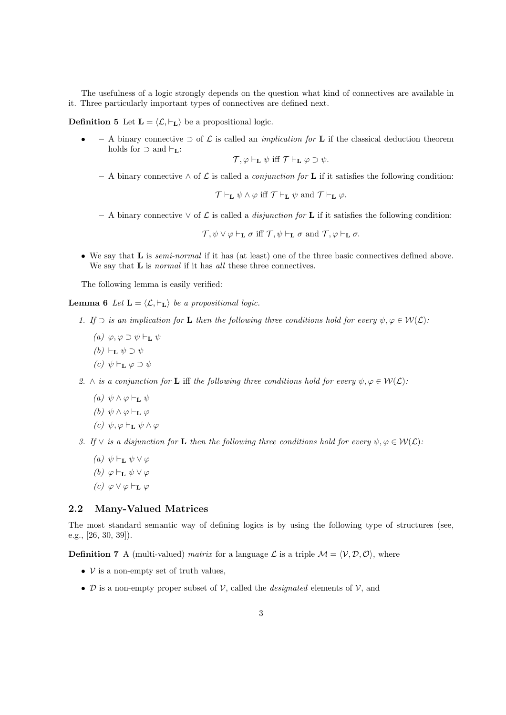The usefulness of a logic strongly depends on the question what kind of connectives are available in it. Three particularly important types of connectives are defined next.

**Definition 5** Let  $\mathbf{L} = \langle \mathcal{L}, \vdash_{\mathbf{L}} \rangle$  be a propositional logic.

*•* **–** A binary connective *⊃* of *L* is called an *implication for* **L** if the classical deduction theorem holds for *⊃* and *⊢***L**:

 $\mathcal{T}, \varphi \vdash_L \psi$  iff  $\mathcal{T} \vdash_L \varphi \supset \psi$ .

**–** A binary connective *∧* of *L* is called a *conjunction for* **L** if it satisfies the following condition:

 $\mathcal{T} \vdash_L \psi \wedge \varphi$  iff  $\mathcal{T} \vdash_L \psi$  and  $\mathcal{T} \vdash_L \varphi$ .

**–** A binary connective *∨* of *L* is called a *disjunction for* **L** if it satisfies the following condition:

 $\mathcal{T}, \psi \vee \varphi \vdash_{\mathbf{L}} \sigma \text{ iff } \mathcal{T}, \psi \vdash_{\mathbf{L}} \sigma \text{ and } \mathcal{T}, \varphi \vdash_{\mathbf{L}} \sigma.$ 

*•* We say that **L** is *semi-normal* if it has (at least) one of the three basic connectives defined above. We say that **L** is *normal* if it has *all* these three connectives.

The following lemma is easily verified:

**Lemma 6** *Let*  $\mathbf{L} = \langle \mathcal{L}, \vdash_{\mathbf{L}} \rangle$  *be a propositional logic.* 

- *1. If*  $\supset$  *is an implication for* **L** *then the following three conditions hold for every*  $\psi, \varphi \in \mathcal{W}(\mathcal{L})$ *:* 
	- *(a) φ, φ ⊃ ψ ⊢***<sup>L</sup>** *ψ*
	- *(b)*  $\vdash$ **L**  $\psi$  ⊃  $\psi$
	- *(c) ψ ⊢***<sup>L</sup>** *φ ⊃ ψ*

*2. ∧ is a conjunction for* **L** iff *the following three conditions hold for every*  $\psi, \varphi \in \mathcal{W}(\mathcal{L})$ *:* 

- *(a)*  $ψ ∧ ω ⊢$ **r**  $ψ$
- *(b) ψ ∧ φ ⊢***<sup>L</sup>** *φ*
- *(c) ψ, φ ⊢***<sup>L</sup>** *ψ ∧ φ*

*3. If*  $\vee$  *is a disjunction for* **L** *then the following three conditions hold for every*  $\psi, \varphi \in \mathcal{W}(\mathcal{L})$ *:* 

- *(a) ψ ⊢***<sup>L</sup>** *ψ ∨ φ (b) φ ⊢***<sup>L</sup>** *ψ ∨ φ*
- *(c) φ ∨ φ ⊢***<sup>L</sup>** *φ*

## **2.2 Many-Valued Matrices**

The most standard semantic way of defining logics is by using the following type of structures (see, e.g., [26, 30, 39]).

**Definition 7** A (multi-valued) *matrix* for a language  $\mathcal{L}$  is a triple  $\mathcal{M} = \langle \mathcal{V}, \mathcal{D}, \mathcal{O} \rangle$ , where

- *• V* is a non-empty set of truth values,
- $D$  is a non-empty proper subset of  $V$ , called the *designated* elements of  $V$ , and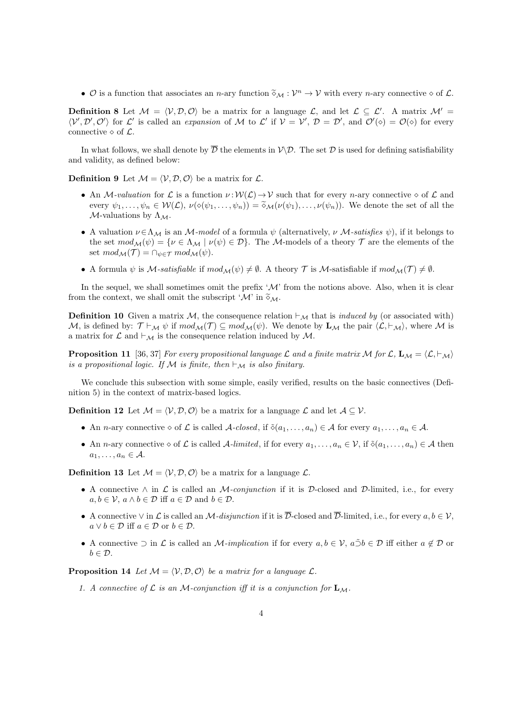•  $\mathcal{O}$  is a function that associates an *n*-ary function  $\tilde{\diamond}_{\mathcal{M}} : \mathcal{V}^n \to \mathcal{V}$  with every *n*-ary connective  $\diamond$  of  $\mathcal{L}$ .

**Definition 8** Let  $\mathcal{M} = \langle \mathcal{V}, \mathcal{D}, \mathcal{O} \rangle$  be a matrix for a language  $\mathcal{L}$ , and let  $\mathcal{L} \subseteq \mathcal{L}'$ . A matrix  $\mathcal{M}' =$  $\langle V',\mathcal{D}',\mathcal{O}'\rangle$  for  $\mathcal{L}'$  is called an *expansion* of M to  $\mathcal{L}'$  if  $V = V', D = \mathcal{D}'$ , and  $\mathcal{O}'(\diamond) = \mathcal{O}(\diamond)$  for every connective  $\diamond$  of  $\mathcal{L}$ .

In what follows, we shall denote by  $\overline{\mathcal{D}}$  the elements in  $\mathcal{V}\setminus\mathcal{D}$ . The set  $\mathcal{D}$  is used for defining satisfiability and validity, as defined below:

**Definition 9** Let  $\mathcal{M} = \langle \mathcal{V}, \mathcal{D}, \mathcal{O} \rangle$  be a matrix for  $\mathcal{L}$ .

- An *M-valuation* for *L* is a function  $\nu : W(L) \to V$  such that for every *n*-ary connective  $\diamond$  of *L* and every  $\psi_1,\ldots,\psi_n\in\mathcal{W}(\mathcal{L}),\ \nu(\diamond(\psi_1,\ldots,\psi_n))=\tilde{\diamond}_{\mathcal{M}}(\nu(\psi_1),\ldots,\nu(\psi_n)).$  We denote the set of all the *M*-valuations by  $\Lambda_{\mathcal{M}}$ .
- A valuation  $\nu \in \Lambda_M$  is an *M-model* of a formula  $\psi$  (alternatively,  $\nu$  *M-satisfies*  $\psi$ ), if it belongs to the set  $mod_{\mathcal{M}}(\psi) = {\nu \in \Lambda_{\mathcal{M}} \mid \nu(\psi) \in \mathcal{D}}$ . The *M*-models of a theory  $\mathcal{T}$  are the elements of the set  $mod_{\mathcal{M}}(\mathcal{T}) = \bigcap_{\psi \in \mathcal{T}} mod_{\mathcal{M}}(\psi).$
- A formula  $\psi$  is *M*-satisfiable if  $mod_{\mathcal{M}}(\psi) \neq \emptyset$ . A theory  $\mathcal T$  is *M*-satisfiable if  $mod_{\mathcal{M}}(\mathcal T) \neq \emptyset$ .

In the sequel, we shall sometimes omit the prefix  $^{\prime}$ *M*' from the notions above. Also, when it is clear from the context, we shall omit the subscript ' $\mathcal{M}$ ' in  $\widetilde{\diamond}_{\mathcal{M}}$ .

**Definition 10** Given a matrix *M*, the consequence relation  $\vdash_{\mathcal{M}}$  that is *induced by* (or associated with) M, is defined by:  $\mathcal{T} \vdash_{\mathcal{M}} \psi$  if  $mod_{\mathcal{M}}(\mathcal{T}) \subseteq mod_{\mathcal{M}}(\psi)$ . We denote by  $\mathbf{L}_{\mathcal{M}}$  the pair  $\langle \mathcal{L}, \vdash_{\mathcal{M}} \rangle$ , where M is a matrix for  $\mathcal L$  and  $\vdash_{\mathcal M}$  is the consequence relation induced by  $\mathcal M$ .

**Proposition 11** [36, 37] *For every propositional language*  $\mathcal L$  *and a finite matrix*  $\mathcal M$  *for*  $\mathcal L$ ,  $\mathbf L_{\mathcal M} = \langle \mathcal L, \vdash_{\mathcal M} \rangle$ *is a propositional logic. If*  $M$  *is finite, then*  $\vdash_{\mathcal{M}}$  *is also finitary.* 

We conclude this subsection with some simple, easily verified, results on the basic connectives (Definition 5) in the context of matrix-based logics.

**Definition 12** Let  $\mathcal{M} = \langle \mathcal{V}, \mathcal{D}, \mathcal{O} \rangle$  be a matrix for a language  $\mathcal{L}$  and let  $\mathcal{A} \subseteq \mathcal{V}$ .

- An *n*-ary connective  $\diamond$  of  $\mathcal{L}$  is called *A-closed*, if  $\delta(a_1, \ldots, a_n) \in \mathcal{A}$  for every  $a_1, \ldots, a_n \in \mathcal{A}$ .
- An *n*-ary connective  $\diamond$  of  $\mathcal{L}$  is called *A*-limited, if for every  $a_1, \ldots, a_n \in \mathcal{V}$ , if  $\delta(a_1, \ldots, a_n) \in \mathcal{A}$  then  $a_1, \ldots, a_n \in \mathcal{A}$ .

**Definition 13** Let  $M = \langle V, \mathcal{D}, \mathcal{O} \rangle$  be a matrix for a language  $\mathcal{L}$ .

- *•* A connective *∧* in *L* is called an *M-conjunction* if it is *D*-closed and *D*-limited, i.e., for every  $a, b \in V$ ,  $a \wedge b \in \mathcal{D}$  iff  $a \in \mathcal{D}$  and  $b \in \mathcal{D}$ .
- $\bullet$  *A* connective  $\vee$  in *L* is called an *M-disjunction* if it is  $\overline{\mathcal{D}}$ -closed and  $\overline{\mathcal{D}}$ -limited, i.e., for every *a, b* ∈ *V*,  $a \vee b \in \mathcal{D}$  iff  $a \in \mathcal{D}$  or  $b \in \mathcal{D}$ .
- A connective  $\supset$  in  $\mathcal L$  is called an *M-implication* if for every  $a, b \in \mathcal V$ ,  $a \tilde{\supset} b \in \mathcal D$  iff either  $a \notin \mathcal D$  or *b ∈ D*.

**Proposition 14** Let  $M = \langle V, \mathcal{D}, \mathcal{O} \rangle$  be a matrix for a language  $\mathcal{L}$ .

1. A connective of  $\mathcal{L}$  is an M-conjunction iff it is a conjunction for  $\mathbf{L}_{\mathcal{M}}$ .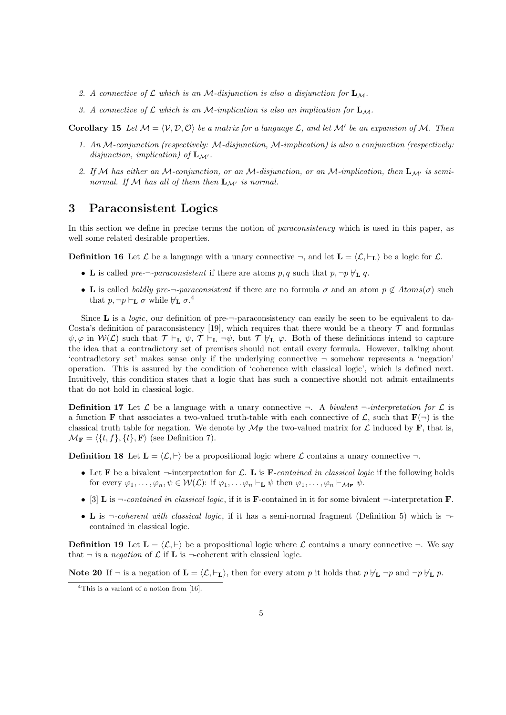- *2. A connective of L which is an M-disjunction is also a disjunction for* **L***M.*
- *3. A connective of L which is an M-implication is also an implication for* **L***M.*

**Corollary 15** Let  $\mathcal{M} = \langle \mathcal{V}, \mathcal{D}, \mathcal{O} \rangle$  be a matrix for a language  $\mathcal{L}$ , and let  $\mathcal{M}'$  be an expansion of  $\mathcal{M}$ . Then

- *1. An M-conjunction (respectively: M-disjunction, M-implication) is also a conjunction (respectively: disjunction, implication) of*  $\mathbf{L}_{\mathcal{M}'}$ .
- *2. If M has either an M-conjunction, or an M-disjunction, or an M-implication, then* **L***M′ is seminormal.* If M has all of them then  $\mathbf{L}_{\mathcal{M}'}$  is normal.

# **3 Paraconsistent Logics**

In this section we define in precise terms the notion of *paraconsistency* which is used in this paper, as well some related desirable properties.

**Definition 16** Let  $\mathcal{L}$  be a language with a unary connective  $\neg$ , and let  $\mathbf{L} = \langle \mathcal{L}, \vdash_{\mathbf{L}} \rangle$  be a logic for  $\mathcal{L}$ .

- *•* **L** is called *pre-¬-paraconsistent* if there are atoms *p, q* such that *p, ¬p ̸⊢***<sup>L</sup>** *q*.
- **L** is called *boldly pre-* $\neg$ -*paraconsistent* if there are no formula  $\sigma$  and an atom  $p \notin Atoms(\sigma)$  such that  $p, \neg p \vdash_{\mathbf{L}} \sigma$  while  $\nvdash_{\mathbf{L}} \sigma$ .<sup>4</sup>

Since **L** is a *logic*, our definition of pre-*¬*-paraconsistency can easily be seen to be equivalent to da-Costa's definition of paraconsistency [19], which requires that there would be a theory  $\mathcal T$  and formulas  $\psi, \varphi$  in  $W(\mathcal{L})$  such that  $\mathcal{T} \vdash_L \psi$ ,  $\mathcal{T} \vdash_L \neg \psi$ , but  $\mathcal{T} \nvDash_L \varphi$ . Both of these definitions intend to capture the idea that a contradictory set of premises should not entail every formula. However, talking about 'contradictory set' makes sense only if the underlying connective *¬* somehow represents a 'negation' operation. This is assured by the condition of 'coherence with classical logic', which is defined next. Intuitively, this condition states that a logic that has such a connective should not admit entailments that do not hold in classical logic.

**Definition 17** Let  $\mathcal{L}$  be a language with a unary connective  $\neg$ . A *bivalent*  $\neg$ *-interpretation for*  $\mathcal{L}$  is a function **F** that associates a two-valued truth-table with each connective of  $\mathcal{L}$ , such that  $\mathbf{F}(\neg)$  is the classical truth table for negation. We denote by  $\mathcal{M}_{\mathbf{F}}$  the two-valued matrix for  $\mathcal{L}$  induced by **F**, that is,  $\mathcal{M}_{\mathbf{F}} = \langle \{t, f\}, \{t\}, \mathbf{F} \rangle$  (see Definition 7).

**Definition 18** Let  $\mathbf{L} = \langle \mathcal{L}, \vdash \rangle$  be a propositional logic where  $\mathcal{L}$  contains a unary connective  $\neg$ .

- Let **F** be a bivalent  $\neg$ -interpretation for *L*. **L** is **F***-contained in classical logic* if the following holds for every  $\varphi_1, \ldots, \varphi_n, \psi \in \mathcal{W}(\mathcal{L})$ : if  $\varphi_1, \ldots, \varphi_n \vdash_{\mathbf{L}} \psi$  then  $\varphi_1, \ldots, \varphi_n \vdash_{\mathcal{M}_{\mathbf{F}}} \psi$ .
- *•* [3] **L** is *¬-contained in classical logic*, if it is **F**-contained in it for some bivalent *¬*-interpretation **F**.
- *•* **L** is *¬-coherent with classical logic*, if it has a semi-normal fragment (Definition 5) which is *¬* contained in classical logic.

**Definition 19** Let  $\mathbf{L} = \langle \mathcal{L}, \vdash \rangle$  be a propositional logic where  $\mathcal{L}$  contains a unary connective  $\neg$ . We say that  $\neg$  is a *negation* of  $\mathcal L$  if **L** is  $\neg$ -coherent with classical logic.

**Note 20** If  $\neg$  is a negation of  $\mathbf{L} = \langle \mathcal{L}, \vdash_{\mathbf{L}} \rangle$ , then for every atom p it holds that  $p \not\vdash_{\mathbf{L}} \neg p$  and  $\neg p \not\vdash_{\mathbf{L}} p$ .

<sup>4</sup>This is a variant of a notion from [16].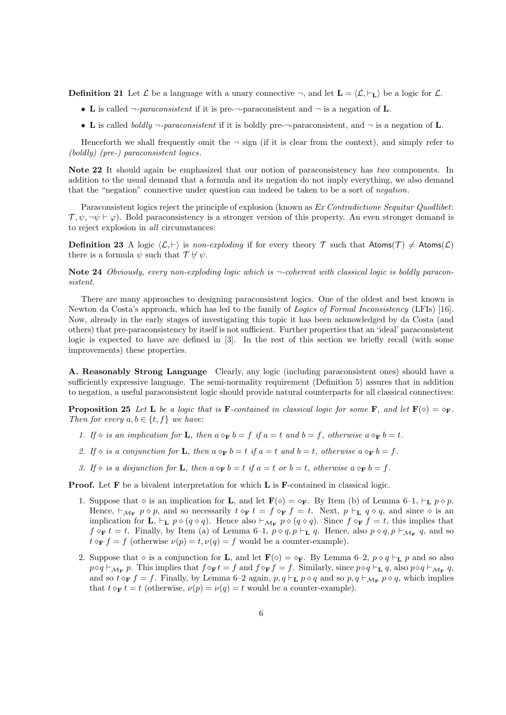**Definition 21** Let  $\mathcal{L}$  be a language with a unary connective  $\neg$ , and let  $\mathbf{L} = \langle \mathcal{L}, \vdash_{\mathbf{L}} \rangle$  be a logic for  $\mathcal{L}$ .

- *•* **L** is called *¬-paraconsistent* if it is pre-*¬*-paraconsistent and *¬* is a negation of **L**.
- *•* **L** is called *boldly ¬-paraconsistent* if it is boldly pre-*¬*-paraconsistent, and *¬* is a negation of **L**.

Henceforth we shall frequently omit the  $\neg$  sign (if it is clear from the context), and simply refer to *(boldly) (pre-) paraconsistent logics*.

**Note 22** It should again be emphasized that our notion of paraconsistency has *two* components. In addition to the usual demand that a formula and its negation do not imply everything, we also demand that the "negation" connective under question can indeed be taken to be a sort of *negation*.

Paraconsistent logics reject the principle of explosion (known as *Ex Contradictione Sequitur Quodlibet*:  $\mathcal{T}, \psi, \neg \psi \vdash \varphi$ . Bold paraconsistency is a stronger version of this property. An even stronger demand is to reject explosion in *all* circumstances:

**Definition 23** A logic  $\langle \mathcal{L}, \vdash \rangle$  is *non-exploding* if for every theory  $\mathcal{T}$  such that  $\mathsf{Atoms}(\mathcal{T}) \neq \mathsf{Atoms}(\mathcal{L})$ there is a formula  $\psi$  such that  $\mathcal{T} \nvDash \psi$ .

**Note 24** *Obviously, every non-exploding logic which is ¬-coherent with classical logic is boldly paraconsistent.*

There are many approaches to designing paraconsistent logics. One of the oldest and best known is Newton da Costa's approach, which has led to the family of *Logics of Formal Inconsistency* (LFIs) [16]. Now, already in the early stages of investigating this topic it has been acknowledged by da Costa (and others) that pre-paraconsistency by itself is not sufficient. Further properties that an 'ideal' paraconsistent logic is expected to have are defined in [3]. In the rest of this section we briefly recall (with some improvements) these properties.

**A. Reasonably Strong Language** Clearly, any logic (including paraconsistent ones) should have a sufficiently expressive language. The semi-normality requirement (Definition 5) assures that in addition to negation, a useful paraconsistent logic should provide natural counterparts for all classical connectives:

**Proposition 25** Let **L** be a logic that is **F**-contained in classical logic for some **F**, and let  $\mathbf{F}(\diamond) = \diamond_{\mathbf{F}}$ . *Then for every*  $a, b \in \{t, f\}$  *we have:* 

- 1. If  $\diamond$  is an implication for **L**, then  $a \diamond_{\mathbf{F}} b = f$  if  $a = t$  and  $b = f$ , otherwise  $a \diamond_{\mathbf{F}} b = t$ .
- 2. If  $\Diamond$  is a conjunction for **L**, then  $a \Diamond_F b = t$  if  $a = t$  and  $b = t$ , otherwise  $a \Diamond_F b = f$ .
- 3. If  $\diamond$  is a disjunction for **L**, then  $a \diamond_F b = t$  if  $a = t$  or  $b = t$ , otherwise  $a \diamond_F b = f$ .

**Proof.** Let **F** be a bivalent interpretation for which **L** is **F**-contained in classical logic.

- 1. Suppose that  $\diamond$  is an implication for **L**, and let **F**( $\diamond$ ) =  $\diamond$ **F**. By Item (b) of Lemma 6–1,  $\vdash_L p \diamond p$ . Hence,  $\vdash_{\mathcal{M}_{\mathbf{F}}} p \diamond p$ , and so necessarily  $t \diamond_{\mathbf{F}} t = f \diamond_{\mathbf{F}} f = t$ . Next,  $p \vdash_{\mathbf{L}} q \diamond q$ , and since  $\diamond$  is an implication for **L**,  $\vdash_{\mathbf{L}} p \diamond (q \diamond q)$ . Hence also  $\vdash_{\mathcal{M}_{\mathbf{F}}} p \diamond (q \diamond q)$ . Since  $f \diamond_{\mathbf{F}} f = t$ , this implies that *f*  $\diamond$ **F** *t* = *t*. Finally, by Item (a) of Lemma 6–1,  $p \diamond q, p \vdash$ **L** *q*. Hence, also  $p \diamond q, p \vdash$ <sub>*M***F**</sub> *q*, and so  $t \diamond_F f = f$  (otherwise  $\nu(p) = t, \nu(q) = f$  would be a counter-example).
- 2. Suppose that  $\diamond$  is a conjunction for **L**, and let  $\mathbf{F}(\diamond) = \diamond_{\mathbf{F}}$ . By Lemma 6–2,  $p \diamond q \vdash_{\mathbf{L}} p$  and so also  $p \diamond q \vdash_{\mathcal{M}_{\mathbf{F}}} p$ . This implies that  $f \diamond_{\mathbf{F}} t = f$  and  $f \diamond_{\mathbf{F}} f = f$ . Similarly, since  $p \diamond q \vdash_{\mathbf{L}} q$ , also  $p \diamond q \vdash_{\mathcal{M}_{\mathbf{F}}} q$ , and so  $t \diamond_F f = f$ . Finally, by Lemma 6–2 again,  $p, q \vdash_L p \diamond q$  and so  $p, q \vdash_{\mathcal{M}_F} p \diamond q$ , which implies that  $t \diamond_F t = t$  (otherwise,  $\nu(p) = \nu(q) = t$  would be a counter-example).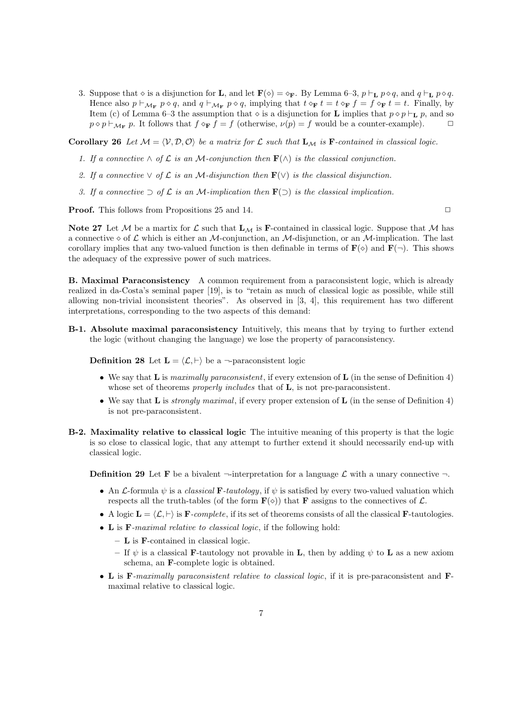3. Suppose that  $\diamond$  is a disjunction for **L**, and let  $\mathbf{F}(\diamond) = \diamond_{\mathbf{F}}$ . By Lemma 6-3,  $p \vdash_{\mathbf{L}} p \diamond q$ , and  $q \vdash_{\mathbf{L}} p \diamond q$ . Hence also  $p \vdash_{\mathcal{M}_F} p \diamond q$ , and  $q \vdash_{\mathcal{M}_F} p \diamond q$ , implying that  $t \diamond_{\mathbf{F}} t = t \diamond_{\mathbf{F}} f = f \diamond_{\mathbf{F}} t = t$ . Finally, by Item (c) of Lemma 6–3 the assumption that  $\diamond$  is a disjunction for **L** implies that  $p \diamond p \vdash_L p$ , and so  $p \diamond p \vdash_{\mathcal{M}_{\mathbf{F}}} p$ . It follows that  $f \diamond_{\mathbf{F}} f = f$  (otherwise,  $\nu(p) = f$  would be a counter-example).  $\Box$ 

**Corollary 26** Let  $M = \langle V, \mathcal{D}, \mathcal{O} \rangle$  be a matrix for  $\mathcal{L}$  such that  $\mathbf{L}_M$  is **F***-contained in classical logic.* 

- *1. If a connective*  $\land$  *of*  $\mathcal{L}$  *is an M-conjunction then* **F**( $\land$ ) *is the classical conjunction.*
- 2. If a connective  $\vee$  of  $\mathcal L$  *is an*  $\mathcal M$ *-disjunction then*  $\mathbf F(\vee)$  *is the classical disjunction.*
- *3.* If a connective ⊃ of  $\mathcal L$  *is an M-implication then* **F**(⊃) *is the classical implication.*

**Proof.** This follows from Propositions 25 and 14. ◯

**Note 27** Let *M* be a martix for  $\mathcal{L}$  such that  $\mathbf{L}_{\mathcal{M}}$  is **F**-contained in classical logic. Suppose that *M* has a connective  $\diamond$  of  $\mathcal L$  which is either an *M*-conjunction, an *M*-disjunction, or an *M*-implication. The last corollary implies that any two-valued function is then definable in terms of  $\mathbf{F}(\diamond)$  and  $\mathbf{F}(\neg)$ . This shows the adequacy of the expressive power of such matrices.

**B. Maximal Paraconsistency** A common requirement from a paraconsistent logic, which is already realized in da-Costa's seminal paper [19], is to "retain as much of classical logic as possible, while still allowing non-trivial inconsistent theories". As observed in [3, 4], this requirement has two different interpretations, corresponding to the two aspects of this demand:

**B-1. Absolute maximal paraconsistency** Intuitively, this means that by trying to further extend the logic (without changing the language) we lose the property of paraconsistency.

**Definition 28** Let  $\mathbf{L} = \langle \mathcal{L}, \vdash \rangle$  be a  $\neg$ -paraconsistent logic

- *•* We say that **L** is *maximally paraconsistent*, if every extension of **L** (in the sense of Definition 4) whose set of theorems *properly includes* that of **L**, is not pre-paraconsistent.
- *•* We say that **L** is *strongly maximal*, if every proper extension of **L** (in the sense of Definition 4) is not pre-paraconsistent.
- **B-2. Maximality relative to classical logic** The intuitive meaning of this property is that the logic is so close to classical logic, that any attempt to further extend it should necessarily end-up with classical logic.

**Definition 29** Let **F** be a bivalent  $\neg$ -interpretation for a language  $\mathcal{L}$  with a unary connective  $\neg$ .

- An *L*-formula  $\psi$  is a *classical* **F***-tautology*, if  $\psi$  is satisfied by every two-valued valuation which respects all the truth-tables (of the form  $\mathbf{F}(\diamond)$ ) that **F** assigns to the connectives of  $\mathcal{L}$ .
- A logic  $\mathbf{L} = \langle \mathcal{L}, \vdash \rangle$  is  $\mathbf{F}$ *-complete*, if its set of theorems consists of all the classical **F**-tautologies.
- *•* **L** is **F***-maximal relative to classical logic*, if the following hold:
	- **– L** is **F**-contained in classical logic.
	- **–** If *ψ* is a classical **F**-tautology not provable in **L**, then by adding *ψ* to **L** as a new axiom schema, an **F**-complete logic is obtained.
- *•* **L** is **F***-maximally paraconsistent relative to classical logic*, if it is pre-paraconsistent and **F**maximal relative to classical logic.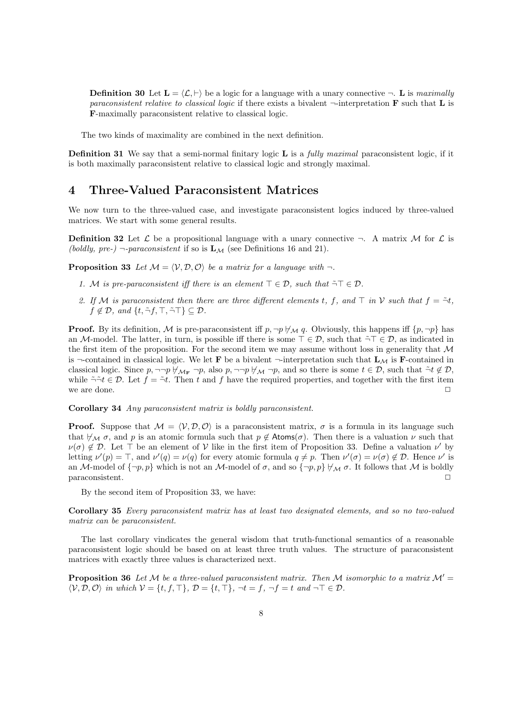**Definition 30** Let  $\mathbf{L} = \langle \mathcal{L}, \vdash \rangle$  be a logic for a language with a unary connective  $\neg$ . **L** is *maximally paraconsistent relative to classical logic* if there exists a bivalent *¬*-interpretation **F** such that **L** is **F**-maximally paraconsistent relative to classical logic.

The two kinds of maximality are combined in the next definition.

**Definition 31** We say that a semi-normal finitary logic **L** is a *fully maximal* paraconsistent logic, if it is both maximally paraconsistent relative to classical logic and strongly maximal.

# **4 Three-Valued Paraconsistent Matrices**

We now turn to the three-valued case, and investigate paraconsistent logics induced by three-valued matrices. We start with some general results.

**Definition 32** Let  $\mathcal{L}$  be a propositional language with a unary connective  $\neg$ . A matrix M for  $\mathcal{L}$  is *(boldly, pre-)*  $\neg$ -*paraconsistent* if so is  $\mathbf{L}_{\mathcal{M}}$  (see Definitions 16 and 21).

**Proposition 33** Let  $M = \langle V, \mathcal{D}, \mathcal{O} \rangle$  be a matrix for a language with  $\neg$ .

- *1. M is pre-paraconsistent iff there is an element*  $\top \in \mathcal{D}$ *, such that*  $\tilde{\neg} \top \in \mathcal{D}$ *.*
- 2. If M is paraconsistent then there are three different elements *t*, *f*, and  $\top$  *in*  $\mathcal V$  *such that*  $f = -\tau t$ *,*  $f \notin \mathcal{D}$ *, and*  $\{t, \tilde{\neg} f, \top, \tilde{\neg} \top\} \subseteq \mathcal{D}$ *.*

**Proof.** By its definition, M is pre-paraconsistent iff  $p, \neg p \nmid_{\mathcal{M}} q$ . Obviously, this happens iff  $\{p, \neg p\}$  has an *M*-model. The latter, in turn, is possible iff there is some *⊤ ∈ D*, such that ˜*¬⊤ ∈ D*, as indicated in the first item of the proposition. For the second item we may assume without loss in generality that *M* is  $\neg$ -contained in classical logic. We let **F** be a bivalent  $\neg$ -interpretation such that  $\mathbf{L}_M$  is **F**-contained in classical logic. Since  $p, \neg\neg p \nleftrightarrow_{\mathcal{M}_{\mathbf{F}}} \neg p$ , also  $p, \neg\neg p \nleftrightarrow_{\mathcal{M}} \neg p$ , and so there is some  $t \in \mathcal{D}$ , such that  $\tilde{\neg} t \notin \mathcal{D}$ , while  $\tilde{\neg} \tilde{\neg} t \in \mathcal{D}$ . Let  $f = \tilde{\neg} t$ . Then *t* and *f* have the required properties, and together with the first item we are done. <del>□</del>

**Corollary 34** *Any paraconsistent matrix is boldly paraconsistent.*

**Proof.** Suppose that  $M = \langle V, \mathcal{D}, \mathcal{O} \rangle$  is a paraconsistent matrix,  $\sigma$  is a formula in its language such that  $\forall \mathcal{M}$   $\sigma$ , and  $p$  is an atomic formula such that  $p \notin \mathsf{Atoms}(\sigma)$ . Then there is a valuation  $\nu$  such that  $\nu(\sigma) \notin \mathcal{D}$ . Let  $\top$  be an element of  $\mathcal V$  like in the first item of Proposition 33. Define a valuation  $\nu'$  by letting  $\nu'(p) = \top$ , and  $\nu'(q) = \nu(q)$  for every atomic formula  $q \neq p$ . Then  $\nu'(\sigma) = \nu(\sigma) \notin \mathcal{D}$ . Hence  $\nu'$  is an *M*-model of  $\{\neg p, p\}$  which is not an *M*-model of  $\sigma$ , and so  $\{\neg p, p\} \not\vdash_{\mathcal{M}} \sigma$ . It follows that *M* is boldly paraconsistent paraconsistent.

By the second item of Proposition 33, we have:

**Corollary 35** *Every paraconsistent matrix has at least two designated elements, and so no two-valued matrix can be paraconsistent.*

The last corollary vindicates the general wisdom that truth-functional semantics of a reasonable paraconsistent logic should be based on at least three truth values. The structure of paraconsistent matrices with exactly three values is characterized next.

**Proposition 36** Let M be a three-valued paraconsistent matrix. Then M isomorphic to a matrix  $\mathcal{M}' =$  $\langle V, \mathcal{D}, \mathcal{O} \rangle$  in which  $V = \{t, f, \top\}, \mathcal{D} = \{t, \top\}, \neg t = f, \neg f = t \text{ and } \neg \top \in \mathcal{D}.$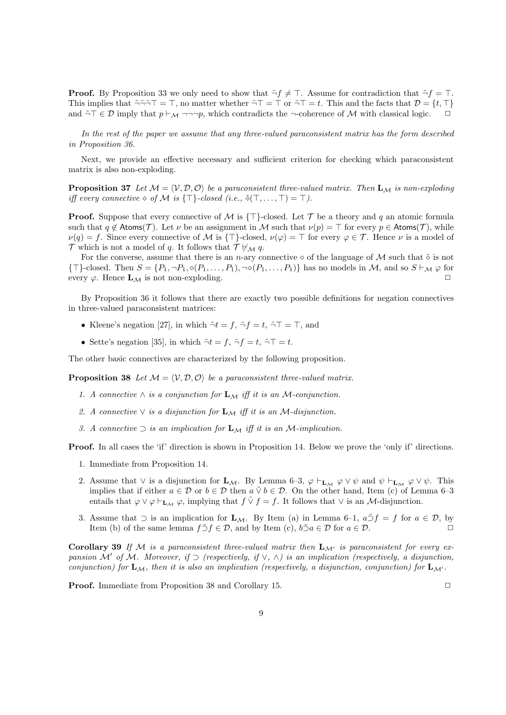**Proof.** By Proposition 33 we only need to show that  $\tilde{\neg} f \neq \top$ . Assume for contradiction that  $\tilde{\neg} f = \top$ . This implies that  $\tilde{\neg} \tilde{\neg} \tilde{\neg} T = \top$ , no matter whether  $\tilde{\neg} T = \top$  or  $\tilde{\neg} T = t$ . This and the facts that  $\mathcal{D} = \{t, \top\}$ and ˜*¬⊤ ∈ D* imply that *p ⊢<sup>M</sup> ¬¬¬p*, which contradicts the *¬*-coherence of *M* with classical logic. *✷*

*In the rest of the paper we assume that any three-valued paraconsistent matrix has the form described in Proposition 36.*

Next, we provide an effective necessary and sufficient criterion for checking which paraconsistent matrix is also non-exploding.

**Proposition 37** Let  $M = \langle V, \mathcal{D}, \mathcal{O} \rangle$  be a paraconsistent three-valued matrix. Then  $\mathbf{L}_{\mathcal{M}}$  is non-exploding *iff every connective*  $\diamond$  *of*  $M$  *is*  $\{\top\}$ *-closed (i.e.,*  $\tilde{\diamond}(\top, \ldots, \top) = \top$ *).* 

**Proof.** Suppose that every connective of *M* is *{⊤}*-closed. Let *T* be a theory and *q* an atomic formula such that  $q \notin \text{Atoms}(\mathcal{T})$ . Let  $\nu$  be an assignment in *M* such that  $\nu(p) = \top$  for every  $p \in \text{Atoms}(\mathcal{T})$ , while  $\nu(q) = f$ . Since every connective of *M* is {⊤}-closed,  $\nu(\varphi) = \top$  for every  $\varphi \in \mathcal{T}$ . Hence  $\nu$  is a model of *T* which is not a model of *q*. It follows that  $T \nvdash_{\mathcal{M}} q$ .

For the converse, assume that there is an *n*-ary connective  $\diamond$  of the language of *M* such that  $\tilde{\diamond}$  is not  $\{\top\}$ -closed. Then  $S = \{P_1, \neg P_1, \Diamond(P_1, \ldots, P_1), \neg \Diamond(P_1, \ldots, P_1)\}\$  has no models in M, and so  $S \vdash_{\mathcal{M}} \varphi$  for every  $\varphi$ . Hence  $\mathbf{L}_{\mathcal{M}}$  is not non-exploding.

By Proposition 36 it follows that there are exactly two possible definitions for negation connectives in three-valued paraconsistent matrices:

- Kleene's negation [27], in which  $\tilde{\neg}t = f$ ,  $\tilde{\neg}f = t$ ,  $\tilde{\neg}T = \top$ , and
- Sette's negation [35], in which  $\tilde{\neg}t = f$ ,  $\tilde{\neg}f = t$ ,  $\tilde{\neg}T = t$ .

The other basic connectives are characterized by the following proposition.

**Proposition 38** *Let*  $M = \langle V, \mathcal{D}, \mathcal{O} \rangle$  *be a paraconsistent three-valued matrix.* 

- *1. A connective*  $∧$  *is a conjunction for*  $L_{M}$  *iff it is an*  $M$ *-conjunction.*
- 2. *A connective*  $\vee$  *is a disjunction for*  $\mathbf{L}_{\mathcal{M}}$  *iff it is an*  $\mathcal{M}$ *-disjunction.*
- *3. A connective ⊃ is an implication for* **L***<sup>M</sup> iff it is an M-implication.*

**Proof.** In all cases the 'if' direction is shown in Proposition 14. Below we prove the 'only if' directions.

- 1. Immediate from Proposition 14.
- 2. Assume that  $\vee$  is a disjunction for **L**<sub>*M*</sub>. By Lemma 6–3,  $\varphi \vdash_{\mathbf{L}_M} \varphi \vee \psi$  and  $\psi \vdash_{\mathbf{L}_M} \varphi \vee \psi$ . This implies that if either  $a \in \mathcal{D}$  or  $b \in \mathcal{D}$  then  $a \vee b \in \mathcal{D}$ . On the other hand, Item (c) of Lemma 6–3 entails that  $\varphi \lor \varphi \vdash_{\mathbf{L}_M} \varphi$ , implying that  $f \lor f = f$ . It follows that  $\lor$  is an *M*-disjunction.
- 3. Assume that *⊃* is an implication for **L***M*. By Item (a) in Lemma 6–1,  $a \tilde{\supset} f = f$  for  $a \in \mathcal{D}$ , by Item (b) of the same lemma  $f \tilde{\supset} f \in \mathcal{D}$  and by Item (c)  $b \tilde{\supset} a \in \mathcal{D}$  for  $a \in \mathcal{D}$ Item (b) of the same lemma  $f \tilde{\supset} f \in \mathcal{D}$ , and by Item (c),  $b \tilde{\supset} a \in \mathcal{D}$  for  $a \in \mathcal{D}$ .

**Corollary 39** If  $M$  is a paraconsistent three-valued matrix then  $\mathbf{L}_{M'}$  is paraconsistent for every ex*pansion*  $\mathcal{M}'$  *of*  $\mathcal{M}$ *. Moreover, if*  $\supset$  (*respectively, if*  $\vee$ ,  $\wedge$ ) *is an implication (respectively, a disjunction, conjunction) for*  $\mathbf{L}_{\mathcal{M}}$ *, then it is also an implication (respectively, a disjunction, conjunction) for*  $\mathbf{L}_{\mathcal{M}}$ *.* 

**Proof.** Immediate from Proposition 38 and Corollary 15. □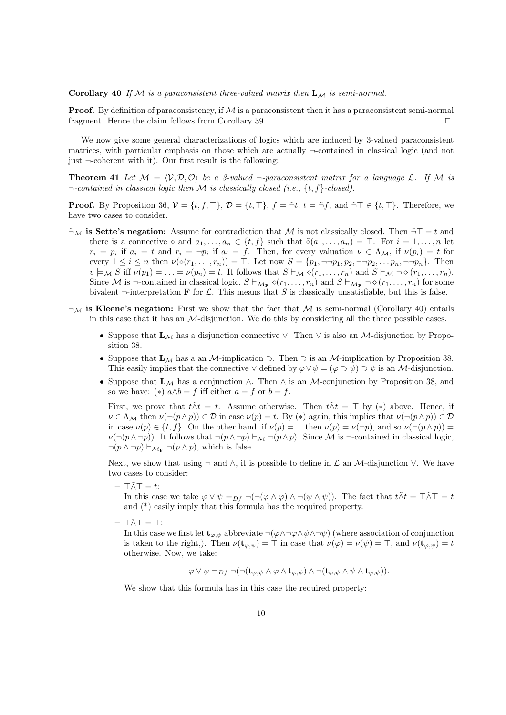**Corollary 40** *If M is a paraconsistent three-valued matrix then* **L***<sup>M</sup> is semi-normal.*

**Proof.** By definition of paraconsistency, if M is a paraconsistent then it has a paraconsistent semi-normal fragment. Hence the claim follows from Corollary 39.  $\Box$ 

We now give some general characterizations of logics which are induced by 3-valued paraconsistent matrices, with particular emphasis on those which are actually *¬*-contained in classical logic (and not just *¬*-coherent with it). Our first result is the following:

**Theorem 41** Let  $M = \langle V, D, O \rangle$  be a 3-valued  $\neg$ -paraconsistent matrix for a language  $\mathcal{L}$ . If M is *¬-contained in classical logic then M is classically closed (i.e., {t, f}-closed).*

**Proof.** By Proposition 36,  $V = \{t, f, \top\}$ ,  $\mathcal{D} = \{t, \top\}$ ,  $f = \tilde{\tau}t$ ,  $t = \tilde{\tau}f$ , and  $\tilde{\tau}\top \in \{t, \top\}$ . Therefore, we have two cases to consider.

- *¬*˜*<sup>M</sup>* **is Sette's negation:** Assume for contradiction that *M* is not classically closed. Then ˜*¬⊤* = *t* and there is a connective  $\diamond$  and  $a_1, \ldots, a_n \in \{t, f\}$  such that  $\tilde{\diamond}(a_1, \ldots, a_n) = \top$ . For  $i = 1, \ldots, n$  let  $r_i = p_i$  if  $a_i = t$  and  $r_i = \neg p_i$  if  $a_i = f$ . Then, for every valuation  $\nu \in \Lambda_{\mathcal{M}}$ , if  $\nu(p_i) = t$  for every  $1 \leq i \leq n$  then  $\nu(\diamond(r_1,\ldots,r_n)) = \top$ . Let now  $S = \{p_1, \neg \neg p_1, p_2, \neg \neg p_2, \ldots p_n, \neg \neg p_n\}$ . Then  $v \models_M S$  iff  $\nu(p_1) = \ldots = \nu(p_n) = t$ . It follows that  $S \vdash_M \diamond (r_1, \ldots, r_n)$  and  $S \vdash_M \neg \diamond (r_1, \ldots, r_n)$ . Since M is  $\neg$ -contained in classical logic,  $S \vdash_{\mathcal{M}_F} \diamond (r_1, \ldots, r_n)$  and  $S \vdash_{\mathcal{M}_F} \neg \diamond (r_1, \ldots, r_n)$  for some bivalent  $\neg$ -interpretation **F** for *L*. This means that *S* is classically unsatisfiable, but this is false.
- $\tilde{\tau}_M$  is Kleene's negation: First we show that the fact that M is semi-normal (Corollary 40) entails in this case that it has an *M*-disjunction. We do this by considering all the three possible cases.
	- *•* Suppose that **L***<sup>M</sup>* has a disjunction connective *∨*. Then *∨* is also an *M*-disjunction by Proposition 38.
	- *•* Suppose that **L***<sup>M</sup>* has a an *M*-implication *⊃*. Then *⊃* is an *M*-implication by Proposition 38. This easily implies that the connective  $\vee$  defined by  $\varphi \vee \psi = (\varphi \supset \psi) \supset \psi$  is an *M*-disjunction.
	- *•* Suppose that **L***<sup>M</sup>* has a conjunction *∧*. Then *∧* is an *M*-conjunction by Proposition 38, and so we have: (\*)  $a \tilde{\wedge} b = f$  iff either  $a = f$  or  $b = f$ .

First, we prove that  $t \tilde{\wedge} t = t$ . Assume otherwise. Then  $t \tilde{\wedge} t = \top$  by (\*) above. Hence, if  $\nu \in \Lambda_{\mathcal{M}}$  then  $\nu(\neg(p \land p)) \in \mathcal{D}$  in case  $\nu(p) = t$ . By (\*) again, this implies that  $\nu(\neg(p \land p)) \in \mathcal{D}$ in case  $\nu(p) \in \{t, f\}$ . On the other hand, if  $\nu(p) = \top$  then  $\nu(p) = \nu(\neg p)$ , and so  $\nu(\neg (p \land p)) =$ *ν*(*¬*(*p* ∧ *¬p*)). It follows that  $\neg$ (*p* ∧ *¬p*) *⊢M*  $\neg$ (*p* ∧ *p*). Since *M* is  $\neg$ -contained in classical logic, *¬*(*p ∧ ¬p*) *⊢<sup>M</sup>***<sup>F</sup>** *¬*(*p ∧ p*), which is false.

Next, we show that using *¬* and *∧*, it is possible to define in *L* an *M*-disjunction *∨*. We have two cases to consider:

**–** *⊤∧⊤*˜ = *t*:

In this case we take  $\varphi \lor \psi =_{Df} \neg(\neg(\varphi \land \varphi) \land \neg(\psi \land \psi))$ . The fact that  $t \tilde{\land} t = \top \tilde{\land} \top = t$ and (\*) easily imply that this formula has the required property.

**–** *⊤∧⊤*˜ = *⊤*:

In this case we first let  $\mathbf{t}_{\varphi,\psi}$  abbreviate  $\neg(\varphi \land \neg \varphi \land \psi \land \neg \psi)$  (where association of conjunction is taken to the right,). Then  $\nu(\mathbf{t}_{\varphi,\psi}) = \top$  in case that  $\nu(\varphi) = \nu(\psi) = \top$ , and  $\nu(\mathbf{t}_{\varphi,\psi}) = t$ otherwise. Now, we take:

 $\varphi \vee \psi =_{Df} \neg(\neg(\mathbf{t}_{\varphi,\psi} \wedge \varphi \wedge \mathbf{t}_{\varphi,\psi}) \wedge \neg(\mathbf{t}_{\varphi,\psi} \wedge \psi \wedge \mathbf{t}_{\varphi,\psi})).$ 

We show that this formula has in this case the required property: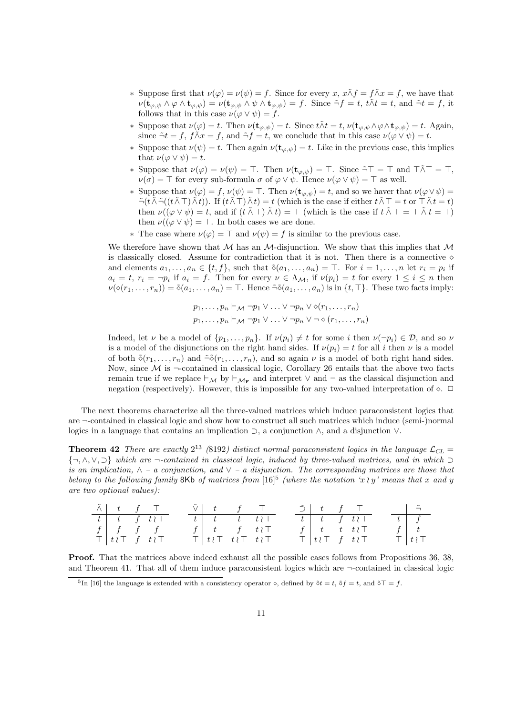- *∗* Suppose first that  $\nu(\varphi) = \nu(\psi) = f$ . Since for every *x*,  $x \tilde{\wedge} f = f \tilde{\wedge} x = f$ , we have that  $\nu(\mathbf{t}_{\varphi,\psi}\wedge\varphi\wedge\mathbf{t}_{\varphi,\psi})=\nu(\mathbf{t}_{\varphi,\psi}\wedge\psi\wedge\mathbf{t}_{\varphi,\psi})=f.$  Since  $\tilde{\neg}f=t, t\tilde{\wedge}t=t$ , and  $\tilde{\neg}t=f$ , it follows that in this case  $\nu(\varphi \vee \psi) = f$ .
- \* Suppose that  $\nu(\varphi) = t$ . Then  $\nu(\mathbf{t}_{\varphi,\psi}) = t$ . Since  $t \wedge t = t$ ,  $\nu(\mathbf{t}_{\varphi,\psi} \wedge \varphi \wedge \mathbf{t}_{\varphi,\psi}) = t$ . Again, since  $\tilde{\neg}t = f$ ,  $f \tilde{\wedge} x = f$ , and  $\tilde{\neg} f = t$ , we conclude that in this case  $\nu(\varphi \vee \psi) = t$ .
- *\** Suppose that  $\nu(\psi) = t$ . Then again  $\nu(\mathbf{t}_{\varphi,\psi}) = t$ . Like in the previous case, this implies that  $\nu(\varphi \vee \psi) = t$ .
- *∗* Suppose that *ν*(*φ*) = *ν*(*ψ*) = *⊤*. Then *ν*(**t***φ,ψ*) = *⊤*. Since ˜*¬⊤* = *⊤* and *⊤∧⊤*˜ = *⊤*, *ν*(*σ*) = *⊤* for every sub-formula *σ* of  $\varphi \lor \psi$ . Hence *ν*( $\varphi \lor \psi$ ) = *⊤* as well.
- *\** Suppose that  $\nu(\varphi) = f$ ,  $\nu(\psi) = \top$ . Then  $\nu(\mathbf{t}_{\varphi,\psi}) = t$ , and so we haver that  $\nu(\varphi \vee \psi) =$  $\tilde{\neg}(t\tilde{\wedge}\tilde{\neg}((t\tilde{\wedge}\top)\tilde{\wedge}t)).$  If  $(t\tilde{\wedge}\top)\tilde{\wedge}t)=t$  (which is the case if either  $t\tilde{\wedge}\top=t$  or  $\top \tilde{\wedge}t=t$ ) then  $\nu((\varphi \vee \psi) = t$ , and if  $(t \wedge \overline{\wedge} \top) \wedge t$  =  $\top$  (which is the case if  $t \wedge \overline{\wedge} \top = \top \wedge t = \top$ ) then  $\nu((\varphi \lor \psi) = \top$ . In both cases we are done.
- *\** The case where  $\nu(\varphi) = \top$  and  $\nu(\psi) = f$  is similar to the previous case.

We therefore have shown that *M* has an *M*-disjunction. We show that this implies that *M* is classically closed. Assume for contradiction that it is not. Then there is a connective *⋄* and elements  $a_1, \ldots, a_n \in \{t, f\}$ , such that  $\tilde{\diamond}(a_1, \ldots, a_n) = \top$ . For  $i = 1, \ldots, n$  let  $r_i = p_i$  if  $a_i = t, r_i = \neg p_i$  if  $a_i = f$ . Then for every  $\nu \in \Lambda_{\mathcal{M}}$ , if  $\nu(p_i) = t$  for every  $1 \leq i \leq n$  then  $\nu(\diamond(r_1,\ldots,r_n)) = \tilde{\diamond}(a_1,\ldots,a_n) = \top$ . Hence  $\tilde{\diamond}(a_1,\ldots,a_n)$  is in  $\{t,\top\}$ . These two facts imply:

$$
p_1, \ldots, p_n \vdash_{\mathcal{M}} \neg p_1 \lor \ldots \lor \neg p_n \lor \Diamond(r_1, \ldots, r_n)
$$
  

$$
p_1, \ldots, p_n \vdash_{\mathcal{M}} \neg p_1 \lor \ldots \lor \neg p_n \lor \neg \Diamond(r_1, \ldots, r_n)
$$

Indeed, let *ν* be a model of  $\{p_1, \ldots, p_n\}$ . If  $\nu(p_i) \neq t$  for some *i* then  $\nu(\neg p_i) \in \mathcal{D}$ , and so  $\nu$ is a model of the disjunctions on the right hand sides. If  $\nu(p_i) = t$  for all *i* then  $\nu$  is a model of both  $\tilde{\diamond}(r_1,\ldots,r_n)$  and  $\tilde{\diamond}\tilde{\diamond}(r_1,\ldots,r_n)$ , and so again  $\nu$  is a model of both right hand sides. Now, since  $\mathcal M$  is  $\neg$ -contained in classical logic, Corollary 26 entails that the above two facts remain true if we replace *⊢<sup>M</sup>* by *⊢<sup>M</sup>***<sup>F</sup>** and interpret *∨* and *¬* as the classical disjunction and negation (respectively). However, this is impossible for any two-valued interpretation of  $\diamond$ .  $□$ 

The next theorems characterize all the three-valued matrices which induce paraconsistent logics that are *¬*-contained in classical logic and show how to construct all such matrices which induce (semi-)normal logics in a language that contains an implication *⊃*, a conjunction *∧*, and a disjunction *∨*.

**Theorem 42** *There are exactly*  $2^{13}$  *(*8192*)* distinct normal paraconsistent logics in the language  $\mathcal{L}_{CL}$  = *{¬, ∧, ∨, ⊃} which are ¬-contained in classical logic, induced by three-valued matrices, and in which ⊃ is an implication, ∧ – a conjunction, and ∨ – a disjunction. The corresponding matrices are those that belong to the following family* 8Kb *of matrices from*  $[16]$ <sup>5</sup> (where the notation '*x \ y*' means that *x* and *y are two optional values):*

| $\tilde{\wedge}$ $\begin{array}{ccc} t & f & \top \end{array}$ |                                                                     |  | $\tilde{\vee}$ $t$ $f$ $\top$                               |  |  | $\tilde{\supset}$   t f T                                                 |  |  | $\overline{\phantom{a}}$ $\overline{\phantom{a}}$ |
|----------------------------------------------------------------|---------------------------------------------------------------------|--|-------------------------------------------------------------|--|--|---------------------------------------------------------------------------|--|--|---------------------------------------------------|
|                                                                | $t \mid t \mid f \mid t \in$                                        |  | $t$   $t$ $t$ $t \wr \top$                                  |  |  | $t \left  t \right $ $t \left  t \right $ $t \left  t \right $            |  |  | $t \mid f$                                        |
| $f \mid f \quad f \quad f$                                     |                                                                     |  | $f \begin{array}{ c c c } \hline f & t & f & t \end{array}$ |  |  | $f \mid t \quad t \quad t \in \mathbb{R}$                                 |  |  |                                                   |
|                                                                | $\top$ $\begin{array}{ccc} t \wr \top & f & t \wr \top \end{array}$ |  | $T   t \wr T   t \wr T   t \wr T$                           |  |  | $\top$ $\begin{bmatrix} t \, \wr \top & f & t \, \lor \top \end{bmatrix}$ |  |  | $\top$ $t \wr \top$                               |

**Proof.** That the matrices above indeed exhaust all the possible cases follows from Propositions 36, 38, and Theorem 41. That all of them induce paraconsistent logics which are *¬*-contained in classical logic

<sup>&</sup>lt;sup>5</sup>In [16] the language is extended with a consistency operator  $\circ$ , defined by  $\tilde{\circ}t = t$ ,  $\tilde{\circ}f = t$ , and  $\tilde{\circ} \tilde{\circ} = f$ .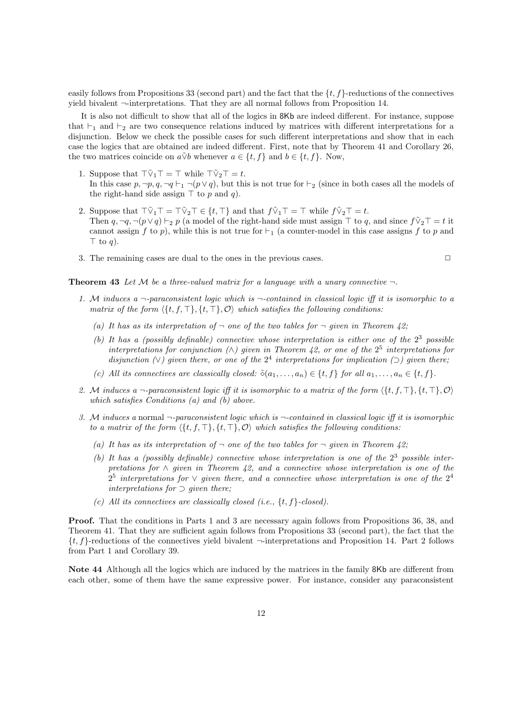easily follows from Propositions 33 (second part) and the fact that the *{t, f}*-reductions of the connectives yield bivalent *¬*-interpretations. That they are all normal follows from Proposition 14.

It is also not difficult to show that all of the logics in 8Kb are indeed different. For instance, suppose that *⊢*<sup>1</sup> and *⊢*<sup>2</sup> are two consequence relations induced by matrices with different interpretations for a disjunction. Below we check the possible cases for such different interpretations and show that in each case the logics that are obtained are indeed different. First, note that by Theorem 41 and Corollary 26, the two matrices coincide on  $a\tilde{\vee}b$  whenever  $a \in \{t, f\}$  and  $b \in \{t, f\}$ . Now,

- 1. Suppose that  $\top \tilde{\vee}_1 \top = \top$  while  $\top \tilde{\vee}_2 \top = t$ . In this case  $p, \neg p, q, \neg q \vdash_1 \neg (p \lor q)$ , but this is not true for  $\vdash_2$  (since in both cases all the models of the right-hand side assign *⊤* to *p* and *q*).
- 2. Suppose that  $\overline{\ulcorner \nabla_1 \ulcorner \ulcorner} = \overline{\ulcorner \nabla_2 \ulcorner} \in \{t, \ulcorner \}$  and that  $f \tilde{\ulcorner \nabla_1 \ulcorner} = \ulcorner$  while  $f \tilde{\ulcorner \nabla_2 \ulcorner} = t$ . Then  $q, \neg q, \neg (p \lor q) \vdash_2 p$  (a model of the right-hand side must assign  $\top$  to  $q$ , and since  $f \tilde{\lor}_2 \top = t$  it cannot assign *f* to *p*), while this is not true for  $\vdash_1$  (a counter-model in this case assigns *f* to *p* and *⊤* to *q*).
- 3. The remaining cases are dual to the ones in the previous cases.  $\Box$

**Theorem 43** Let M be a three-valued matrix for a language with a unary connective  $\neg$ .

- *1. M induces a ¬-paraconsistent logic which is ¬-contained in classical logic iff it is isomorphic to a matrix of the form ⟨{t, f, ⊤}, {t, ⊤}, O⟩ which satisfies the following conditions:*
	- (a) It has as its interpretation of  $\neg$  one of the two tables for  $\neg$  *given in Theorem 42;*
	- (b) It has a (possibly definable) connective whose interpretation is either one of the  $2^3$  possible *interpretations for conjunction*  $(\wedge)$  given in Theorem 42, or one of the  $2^5$  interpretations for *disjunction*  $(\vee)$  given there, or one of the  $2^4$  interpretations for implication  $(\supset)$  given there;
	- (c) All its connectives are classically closed:  $\tilde{\diamond}(a_1,\ldots,a_n) \in \{t, f\}$  for all  $a_1,\ldots,a_n \in \{t, f\}$ .
- *2. M induces a ¬-paraconsistent logic iff it is isomorphic to a matrix of the form ⟨{t, f, ⊤}, {t, ⊤}, O⟩ which satisfies Conditions (a) and (b) above.*
- *3. M induces a* normal *¬-paraconsistent logic which is ¬-contained in classical logic iff it is isomorphic to a matrix of the form*  $\langle \{t, f, \top\}, \{t, \top\}, \mathcal{O} \rangle$  *which satisfies the following conditions:* 
	- (a) It has as its interpretation of  $\neg$  one of the two tables for  $\neg$  qiven in Theorem 42;
	- (b) It has a (possibly definable) connective whose interpretation is one of the  $2<sup>3</sup>$  possible inter*pretations for ∧ given in Theorem 42, and a connective whose interpretation is one of the*  $2^5$  *interpretations for*  $\vee$  *given there, and a connective whose interpretation is one of the*  $2^4$ *interpretations for ⊃ given there;*
	- *(c) All its connectives are classically closed (i.e., {t, f}-closed).*

**Proof.** That the conditions in Parts 1 and 3 are necessary again follows from Propositions 36, 38, and Theorem 41. That they are sufficient again follows from Propositions 33 (second part), the fact that the *{t, f}*-reductions of the connectives yield bivalent *¬*-interpretations and Proposition 14. Part 2 follows from Part 1 and Corollary 39.

**Note 44** Although all the logics which are induced by the matrices in the family 8Kb are different from each other, some of them have the same expressive power. For instance, consider any paraconsistent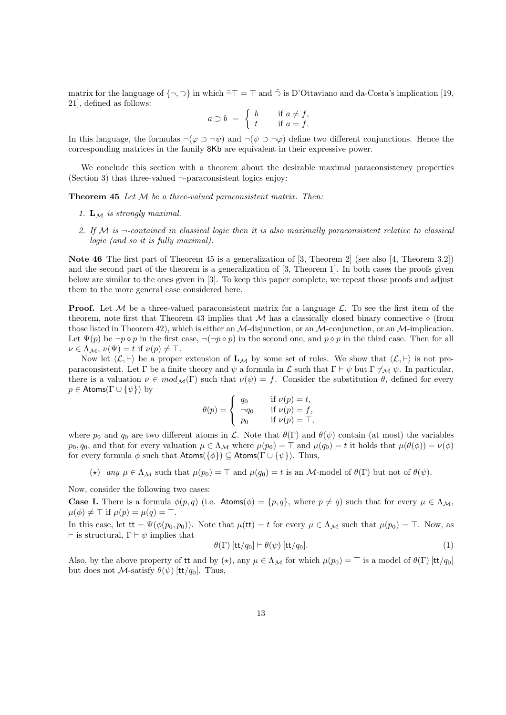matrix for the language of  $\{\neg, \neg\}$  in which  $\tilde{\neg}T = \top$  and  $\tilde{\supset}$  is D'Ottaviano and da-Costa's implication [19, 21], defined as follows:

$$
a \supset b \ = \ \left\{ \begin{array}{ll} b & \text{if } a \neq f, \\ t & \text{if } a = f. \end{array} \right.
$$

In this language, the formulas  $\neg(\varphi \supset \neg \psi)$  and  $\neg(\psi \supset \neg \varphi)$  define two different conjunctions. Hence the corresponding matrices in the family 8Kb are equivalent in their expressive power.

We conclude this section with a theorem about the desirable maximal paraconsistency properties (Section 3) that three-valued *¬*-paraconsistent logics enjoy:

**Theorem 45** *Let M be a three-valued paraconsistent matrix. Then:*

- *1.* **L***<sup>M</sup> is strongly maximal.*
- *2. If M is ¬-contained in classical logic then it is also maximally paraconsistent relative to classical logic (and so it is fully maximal).*

**Note 46** The first part of Theorem 45 is a generalization of [3, Theorem 2] (see also [4, Theorem 3.2]) and the second part of the theorem is a generalization of [3, Theorem 1]. In both cases the proofs given below are similar to the ones given in [3]. To keep this paper complete, we repeat those proofs and adjust them to the more general case considered here.

**Proof.** Let M be a three-valued paraconsistent matrix for a language  $\mathcal{L}$ . To see the first item of the theorem, note first that Theorem 43 implies that  $M$  has a classically closed binary connective  $\diamond$  (from those listed in Theorem 42), which is either an *M*-disjunction, or an *M*-conjunction, or an *M*-implication. Let  $\Psi(p)$  be  $\neg p \diamond p$  in the first case,  $\neg (\neg p \diamond p)$  in the second one, and  $p \diamond p$  in the third case. Then for all  $\nu \in \Lambda_M$ ,  $\nu(\Psi) = t$  if  $\nu(p) \neq \top$ .

Now let  $\langle \mathcal{L}, \vdash \rangle$  be a proper extension of  $\mathbf{L}_{\mathcal{M}}$  by some set of rules. We show that  $\langle \mathcal{L}, \vdash \rangle$  is not preparaconsistent. Let Γ be a finite theory and  $\psi$  a formula in  $\mathcal L$  such that  $\Gamma \vdash \psi$  but  $\Gamma \not\models_{\mathcal M} \psi$ . In particular, there is a valuation  $\nu \in mod_{\mathcal{M}}(\Gamma)$  such that  $\nu(\psi) = f$ . Consider the substitution  $\theta$ , defined for every *p*  $\in$  Atoms( $\Gamma \cup \{\psi\}$ ) by

$$
\theta(p) = \begin{cases} q_0 & \text{if } \nu(p) = t, \\ \neg q_0 & \text{if } \nu(p) = f, \\ p_0 & \text{if } \nu(p) = \top, \end{cases}
$$

where  $p_0$  and  $q_0$  are two different atoms in  $\mathcal{L}$ . Note that  $\theta(\Gamma)$  and  $\theta(\psi)$  contain (at most) the variables *p*<sub>0</sub>*, q*<sub>0</sub>*,* and that for every valuation  $\mu \in \Lambda_{\mathcal{M}}$  where  $\mu(p_0) = \top$  and  $\mu(q_0) = t$  it holds that  $\mu(\theta(\phi)) = \nu(\phi)$ for every formula  $\phi$  such that  $\mathsf{Atoms}(\{\phi\}) \subseteq \mathsf{Atoms}(\Gamma \cup \{\psi\})$ . Thus,

(\*) *any*  $\mu \in \Lambda_{\mathcal{M}}$  such that  $\mu(p_0) = \top$  and  $\mu(q_0) = t$  is an *M*-model of  $\theta(\Gamma)$  but not of  $\theta(\psi)$ .

Now, consider the following two cases:

**Case I.** There is a formula  $\phi(p,q)$  (i.e. Atoms( $\phi$ ) = { $p$ ,  $q$ }, where  $p \neq q$ ) such that for every  $\mu \in \Lambda_{\mathcal{M}}$ ,  $\mu(\phi) \neq \top$  if  $\mu(p) = \mu(q) = \top$ .

In this case, let  $\mathbf{t}\mathbf{t} = \Psi(\phi(p_0, p_0))$ . Note that  $\mu(\mathbf{t}\mathbf{t}) = t$  for every  $\mu \in \Lambda_{\mathcal{M}}$  such that  $\mu(p_0) = \top$ . Now, as *⊢* is structural, Γ *⊢ ψ* implies that

$$
\theta(\Gamma) \left[ \frac{\mathsf{t} \mathsf{t}}{q_0} \right] \vdash \theta(\psi) \left[ \frac{\mathsf{t} \mathsf{t}}{q_0} \right]. \tag{1}
$$

Also, by the above property of it and by  $\langle \star \rangle$ , any  $\mu \in \Lambda_{\mathcal{M}}$  for which  $\mu(p_0) = \top$  is a model of  $\theta(\Gamma)$  [tt/q<sub>0</sub>] but does not *M*-satisfy  $\theta(\psi)$  [tt/q<sub>0</sub>]. Thus,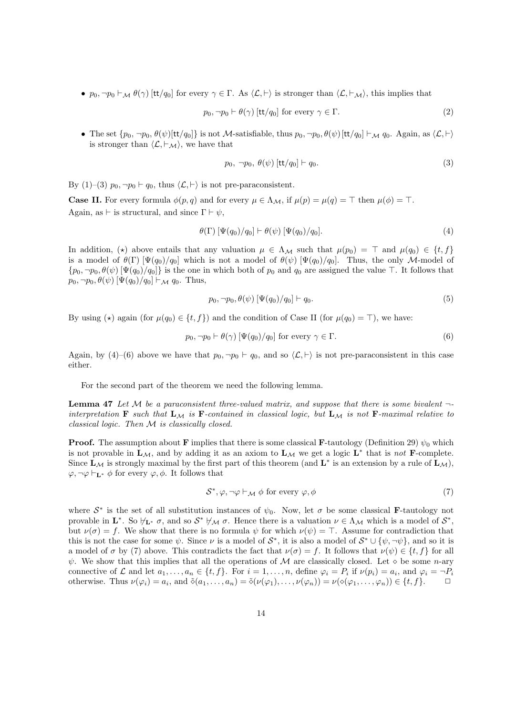•  $p_0, \neg p_0 \vdash_{\mathcal{M}} \theta(\gamma)$  [tt/q<sub>0</sub>] for every  $\gamma \in \Gamma$ . As  $\langle \mathcal{L}, \vdash \rangle$  is stronger than  $\langle \mathcal{L}, \vdash_{\mathcal{M}} \rangle$ , this implies that

$$
p_0, \neg p_0 \vdash \theta(\gamma) \text{ [tt/q_0] for every } \gamma \in \Gamma.
$$
 (2)

• The set  $\{p_0, \neg p_0, \theta(\psi)[\text{tt}/q_0]\}$  is not M-satisfiable, thus  $p_0, \neg p_0, \theta(\psi)[\text{tt}/q_0] \vdash_{\mathcal{M}} q_0$ . Again, as  $\langle \mathcal{L}, \vdash \rangle$ is stronger than  $\langle \mathcal{L}, \vdash_{\mathcal{M}} \rangle$ , we have that

$$
p_0, \neg p_0, \theta(\psi) \left[ \frac{\text{tt}}{q_0} \right] \vdash q_0. \tag{3}
$$

By (1)–(3)  $p_0, \neg p_0 \vdash q_0$ , thus  $\langle \mathcal{L}, \vdash \rangle$  is not pre-paraconsistent.

**Case II.** For every formula  $\phi(p, q)$  and for every  $\mu \in \Lambda_M$ , if  $\mu(p) = \mu(q) = \top$  then  $\mu(\phi) = \top$ . Again, as  $\vdash$  is structural, and since  $\Gamma \vdash \psi$ ,

$$
\theta(\Gamma) \left[ \Psi(q_0)/q_0 \right] \vdash \theta(\psi) \left[ \Psi(q_0)/q_0 \right]. \tag{4}
$$

In addition,  $(\star)$  above entails that any valuation  $\mu \in \Lambda_{\mathcal{M}}$  such that  $\mu(p_0) = \top$  and  $\mu(q_0) \in \{t, f\}$ is a model of  $\theta(\Gamma)$  [ $\Psi(q_0)/q_0$ ] which is not a model of  $\theta(\psi)$  [ $\Psi(q_0)/q_0$ ]. Thus, the only *M*-model of  $\{p_0, \neg p_0, \theta(\psi) \, [\Psi(q_0)/q_0] \}$  is the one in which both of  $p_0$  and  $q_0$  are assigned the value  $\top$ . It follows that  $p_0, \neg p_0, \theta(\psi)$  [ $\Psi(q_0)/q_0$ ]  $\vdash_{\mathcal{M}} q_0$ . Thus,

$$
p_0, \neg p_0, \theta(\psi) \left[ \Psi(q_0) / q_0 \right] \vdash q_0. \tag{5}
$$

By using  $(\star)$  again (for  $\mu(q_0) \in \{t, f\}$ ) and the condition of Case II (for  $\mu(q_0) = \top$ ), we have:

$$
p_0, \neg p_0 \vdash \theta(\gamma) \left[ \Psi(q_0) / q_0 \right] \text{ for every } \gamma \in \Gamma.
$$
 (6)

Again, by (4)–(6) above we have that  $p_0, \neg p_0 \vdash q_0$ , and so  $\langle \mathcal{L}, \vdash \rangle$  is not pre-paraconsistent in this case either.

For the second part of the theorem we need the following lemma.

**Lemma 47** *Let M be a paraconsistent three-valued matrix, and suppose that there is some bivalent ¬* interpretation **F** such that  $L_M$  is **F**-contained in classical logic, but  $L_M$  is not **F**-maximal relative to *classical logic. Then M is classically closed.*

**Proof.** The assumption about **F** implies that there is some classical **F**-tautology (Definition 29)  $\psi_0$  which is not provable in  $\mathbf{L}_{\mathcal{M}}$ , and by adding it as an axiom to  $\mathbf{L}_{\mathcal{M}}$  we get a logic  $\mathbf{L}^*$  that is *not*  $\mathbf{F}$ -complete. Since  $\mathbf{L}_{\mathcal{M}}$  is strongly maximal by the first part of this theorem (and  $\mathbf{L}^*$  is an extension by a rule of  $\mathbf{L}_{\mathcal{M}}$ ), *φ*, ¬*φ*  $\vdash$ **L**<sup>\*</sup> *ϕ* for every *φ*, *ϕ*. It follows that

$$
S^*, \varphi, \neg \varphi \vdash_{\mathcal{M}} \phi \text{ for every } \varphi, \phi \tag{7}
$$

where  $S^*$  is the set of all substitution instances of  $\psi_0$ . Now, let  $\sigma$  be some classical **F**-tautology not provable in  $\mathbf{L}^*$ . So  $\forall_{\mathbf{L}^*} \sigma$ , and so  $S^* \not\vdash_{\mathcal{M}} \sigma$ . Hence there is a valuation  $\nu \in \Lambda_{\mathcal{M}}$  which is a model of  $S^*$ , but  $\nu(\sigma) = f$ . We show that there is no formula  $\psi$  for which  $\nu(\psi) = \top$ . Assume for contradiction that this is not the case for some  $\psi$ . Since  $\nu$  is a model of  $S^*$ , it is also a model of  $S^* \cup {\psi, \neg \psi}$ , and so it is a model of  $\sigma$  by (7) above. This contradicts the fact that  $\nu(\sigma) = f$ . It follows that  $\nu(\psi) \in \{t, f\}$  for all *ψ*. We show that this implies that all the operations of *M* are classically closed. Let *◇* be some *n*-ary connective of L and let  $a_1, \ldots, a_n \in \{t, f\}$ . For  $i = 1, \ldots, n$ , define  $\varphi_i = P_i$  if  $\nu(p_i) = a_i$ , and  $\varphi_i = \neg P_i$ otherwise. Thus  $\nu(\varphi_i) = a_i$ , and  $\tilde{\diamond}(a_1, \ldots, a_n) = \tilde{\diamond}(\nu(\varphi_1), \ldots, \nu(\varphi_n)) = \nu(\diamond(\varphi_1, \ldots, \varphi_n)) \in \{t, f\}.$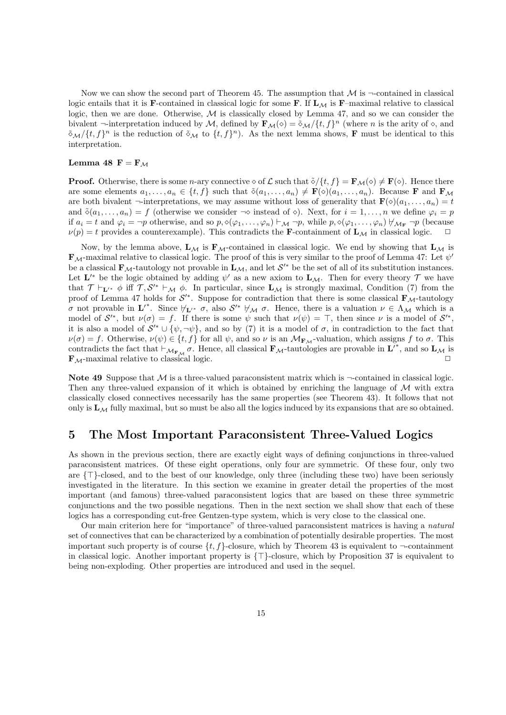Now we can show the second part of Theorem 45. The assumption that  $M$  is  $\neg$ -contained in classical logic entails that it is **F**-contained in classical logic for some **F**. If  $\mathbf{L}_{\mathcal{M}}$  is **F**–maximal relative to classical logic, then we are done. Otherwise, *M* is classically closed by Lemma 47, and so we can consider the bivalent  $\neg$ -interpretation induced by *M*, defined by  $\mathbf{F}_\mathcal{M}(\diamond) = \tilde{\diamond}_\mathcal{M}/\{t, f\}^n$  (where *n* is the arity of  $\diamond$ , and  $\tilde{\phi}_{\mathcal{M}}/ \{t, f\}^n$  is the reduction of  $\tilde{\phi}_{\mathcal{M}}$  to  $\{t, f\}^n$ ). As the next lemma shows, **F** must be identical to this interpretation.

## **Lemma 48**  $\mathbf{F} = \mathbf{F}_M$

**Proof.** Otherwise, there is some *n*-ary connective  $\diamond$  of  $\mathcal{L}$  such that  $\delta / \{t, f\} = \mathbf{F}_{\mathcal{M}}(\diamond) \neq \mathbf{F}(\diamond)$ . Hence there are some elements  $a_1, \ldots, a_n \in \{t, f\}$  such that  $\delta(a_1, \ldots, a_n) \neq \mathbf{F}(\diamond)(a_1, \ldots, a_n)$ . Because **F** and **F**<sub>M</sub> are both bivalent  $\neg$ -interpretations, we may assume without loss of generality that  $\mathbf{F}(\diamond)(a_1, \ldots, a_n) = t$ and  $\delta(a_1, \ldots, a_n) = f$  (otherwise we consider  $\neg \diamond$  instead of  $\diamond$ ). Next, for  $i = 1, \ldots, n$  we define  $\varphi_i = p$ if  $a_i = t$  and  $\varphi_i = \neg p$  otherwise, and so  $p, \Diamond(\varphi_1, \dots, \varphi_n) \vdash_M \neg p$ , while  $p, \Diamond(\varphi_1, \dots, \varphi_n) \not\vdash_{\mathcal{M}_{\mathbf{F}}} \neg p$  (because  $\nu(p) = t$  provides a counterexample). This contradicts the **F**-containment of  $\mathbf{L}_{\mathcal{M}}$  in classical logic.

Now, by the lemma above,  $\mathbf{L}_{\mathcal{M}}$  is  $\mathbf{F}_{\mathcal{M}}$ -contained in classical logic. We end by showing that  $\mathbf{L}_{\mathcal{M}}$  is **F***M*-maximal relative to classical logic. The proof of this is very similar to the proof of Lemma 47: Let *ψ ′* be a classical  $\mathbf{F}_{\mathcal{M}}$ -tautology not provable in  $\mathbf{L}_{\mathcal{M}}$ , and let  $\mathcal{S}'^*$  be the set of all of its substitution instances. Let  $\mathbf{L}'^*$  be the logic obtained by adding  $\psi'$  as a new axiom to  $\mathbf{L}_\mathcal{M}$ . Then for every theory  $\mathcal{T}$  we have that  $\mathcal{T} \vdash_{\mathbf{L}'^*} \phi$  iff  $\mathcal{T}, \mathcal{S}'^* \vdash_{\mathcal{M}} \phi$ . In particular, since  $\mathbf{L}_{\mathcal{M}}$  is strongly maximal, Condition (7) from the proof of Lemma 47 holds for  $S'^*$ . Suppose for contradiction that there is some classical  $\mathbf{F}_{\mathcal{M}}$ -tautology *σ* not provable in  $\mathbf{L}'^*$ . Since  $\nvdash_{\mathbf{L}'^*} \sigma$ , also  $\mathcal{S}'^* \not\models_M \sigma$ . Hence, there is a valuation  $\nu \in \Lambda_M$  which is a model of  $S'^{*}$ , but  $\nu(\sigma) = f$ . If there is some  $\psi$  such that  $\nu(\psi) = \top$ , then since  $\nu$  is a model of  $S'^{*}$ , it is also a model of  $\mathcal{S}'^* \cup \{\psi, \neg \psi\}$ , and so by (7) it is a model of  $\sigma$ , in contradiction to the fact that  $\nu(\sigma) = f$ . Otherwise,  $\nu(\psi) \in \{t, f\}$  for all  $\psi$ , and so  $\nu$  is an  $\mathcal{M}_{\mathbf{F}_\mathcal{M}}$ -valuation, which assigns  $f$  to  $\sigma$ . This contradicts the fact that  $\vdash_{\mathcal{M}_{\mathbf{F},\mathcal{M}}} \sigma$ . Hence, all classical  $\mathbf{F}_{\mathcal{M}}$ -tautologies are provable in  $\mathbf{L}'^*$ , and so  $\mathbf{L}_{\mathcal{M}}$  is **F**<sub>*M*</sub>-maximal relative to classical logic. □

**Note 49** Suppose that *M* is a three-valued paraconsistent matrix which is *¬*-contained in classical logic. Then any three-valued expansion of it which is obtained by enriching the language of *M* with extra classically closed connectives necessarily has the same properties (see Theorem 43). It follows that not only is  $L_M$  fully maximal, but so must be also all the logics induced by its expansions that are so obtained.

# **5 The Most Important Paraconsistent Three-Valued Logics**

As shown in the previous section, there are exactly eight ways of defining conjunctions in three-valued paraconsistent matrices. Of these eight operations, only four are symmetric. Of these four, only two are *{⊤}*-closed, and to the best of our knowledge, only three (including these two) have been seriously investigated in the literature. In this section we examine in greater detail the properties of the most important (and famous) three-valued paraconsistent logics that are based on these three symmetric conjunctions and the two possible negations. Then in the next section we shall show that each of these logics has a corresponding cut-free Gentzen-type system, which is very close to the classical one.

Our main criterion here for "importance" of three-valued paraconsistent matrices is having a *natural* set of connectives that can be characterized by a combination of potentially desirable properties. The most important such property is of course  $\{t, f\}$ -closure, which by Theorem 43 is equivalent to  $\neg$ -containment in classical logic. Another important property is *{⊤}*-closure, which by Proposition 37 is equivalent to being non-exploding. Other properties are introduced and used in the sequel.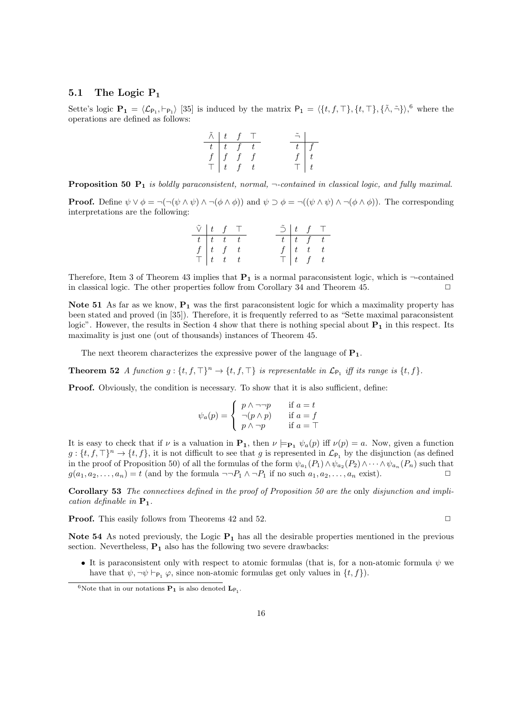## **5.1 The Logic P<sup>1</sup>**

Sette's logic  $\mathbf{P_1} = \langle \mathcal{L}_{\mathsf{P_1}}, \vdash_{\mathsf{P_1}} \rangle$  [35] is induced by the matrix  $\mathsf{P_1} = \langle \{t, f, \top \}, \{t, \top \}, \{\tilde{\wedge}, \tilde{\neg}\} \rangle$ , where the operations are defined as follows:

$$
\begin{array}{c|cc} \tilde{\land} & t & f & \top \\ \hline t & t & f & t \\ f & f & f & f \\ \top & t & f & t \end{array} \hspace{0.5cm} \begin{array}{c|cc} \tilde{\neg} & & \\ \tilde{\neg} & & \\ \hline t & f & f \\ \top & t & \top \end{array} \hspace{0.5cm} \begin{array}{c|cc} \\ \tilde{\neg} & & \\ \hline \end{array}
$$

**Proposition 50 P<sup>1</sup>** *is boldly paraconsistent, normal, ¬-contained in classical logic, and fully maximal.*

**Proof.** Define  $\psi \lor \phi = \neg(\neg(\psi \land \psi) \land \neg(\phi \land \phi))$  and  $\psi \supset \phi = \neg((\psi \land \psi) \land \neg(\phi \land \phi))$ . The corresponding interpretations are the following:

|  | $\tilde{\vee}$ $\begin{array}{cc} t & f \end{array}$ T                   |  |  |                                                                      | $\tilde{\supset}$   t f T |
|--|--------------------------------------------------------------------------|--|--|----------------------------------------------------------------------|---------------------------|
|  | $t \mid t \mid t \mid t$                                                 |  |  |                                                                      | $\overline{t}\mid t-f-t$  |
|  | $\frac{f}{\top}$ $\begin{array}{ccc} t & f & t \\ t & t & t \end{array}$ |  |  | $\frac{f}{\top}\begin{vmatrix} t & t & t \\ t & f & t \end{vmatrix}$ |                           |
|  |                                                                          |  |  |                                                                      |                           |

Therefore, Item 3 of Theorem 43 implies that  $P_1$  is a normal paraconsistent logic, which is  $\neg$ -contained in classical logic. The other properties follow from Corollary 34 and Theorem 45.  $\Box$ 

**Note 51** As far as we know, **P<sup>1</sup>** was the first paraconsistent logic for which a maximality property has been stated and proved (in [35]). Therefore, it is frequently referred to as "Sette maximal paraconsistent logic". However, the results in Section 4 show that there is nothing special about **P<sup>1</sup>** in this respect. Its maximality is just one (out of thousands) instances of Theorem 45.

The next theorem characterizes the expressive power of the language of **P1**.

**Theorem 52** *A function*  $g: \{t, f, \top\}^n \to \{t, f, \top\}$  *is representable in*  $\mathcal{L}_{\mathsf{P}_1}$  *iff its range is*  $\{t, f\}$ *.* 

**Proof.** Obviously, the condition is necessary. To show that it is also sufficient, define:

$$
\psi_a(p) = \begin{cases} p \land \neg \neg p & \text{if } a = t \\ \neg(p \land p) & \text{if } a = f \\ p \land \neg p & \text{if } a = \top \end{cases}
$$

It is easy to check that if *ν* is a valuation in  $\mathbf{P}_1$ , then  $\nu \models_{\mathbf{P}_1} \psi_a(p)$  iff  $\nu(p) = a$ . Now, given a function  $g: \{t, f, \top\}^n \to \{t, f\}$ , it is not difficult to see that *g* is represented in  $\mathcal{L}_{P_1}$  by the disjunction (as defined in the proof of Proposition 50) of all the formulas of the form  $\psi_{a_1}(P_1) \wedge \psi_{a_2}(P_2) \wedge \cdots \wedge \psi_{a_n}(P_n)$  such that  $g(a_1, a_2, \ldots, a_n) = t$  (and by the formula  $\neg P_1 \land \neg P_1$  if no such  $a_1, a_2, \ldots, a_n$  exist).

**Corollary 53** *The connectives defined in the proof of Proposition 50 are the* only *disjunction and implication definable in* **P1***.*

**Proof.** This easily follows from Theorems 42 and 52. □

**Note 54** As noted previously, the Logic **P<sup>1</sup>** has all the desirable properties mentioned in the previous section. Nevertheless,  $P_1$  also has the following two severe drawbacks:

• It is paraconsistent only with respect to atomic formulas (that is, for a non-atomic formula  $\psi$  we have that  $\psi$ ,  $\neg \psi$   $\vdash_{\mathsf{P}_1} \varphi$ , since non-atomic formulas get only values in  $\{t, f\}$ ).

<sup>&</sup>lt;sup>6</sup>Note that in our notations **P<sub>1</sub>** is also denoted  $\mathbf{L}_{\mathsf{P}_1}$ .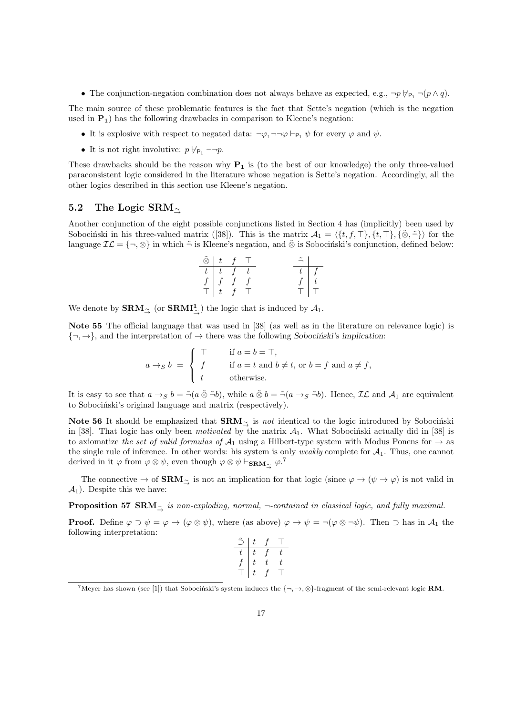• The conjunction-negation combination does not always behave as expected, e.g.,  $\neg p \nvDash_{\mathsf{P}_1} \neg (p \wedge q)$ .

The main source of these problematic features is the fact that Sette's negation (which is the negation used in  $P_1$ ) has the following drawbacks in comparison to Kleene's negation:

- It is explosive with respect to negated data:  $\neg \varphi$ ,  $\neg \neg \varphi \vdash_{P_1} \psi$  for every  $\varphi$  and  $\psi$ .
- It is not right involutive:  $p \nvDash_{P_1} \neg \neg p$ .

These drawbacks should be the reason why **P<sup>1</sup>** is (to the best of our knowledge) the only three-valued paraconsistent logic considered in the literature whose negation is Sette's negation. Accordingly, all the other logics described in this section use Kleene's negation.

## **5.2 The Logic SRM***<sup>∼</sup><sup>→</sup>*

Another conjunction of the eight possible conjunctions listed in Section 4 has (implicitly) been used by Sobocinski in his three-valued matrix ([38]). This is the matrix  $\mathcal{A}_1 = \langle \{t, f, \top\}, \{t, \top\}, \{\tilde{\otimes}, \tilde{\neg}\} \rangle$  for the language  $\mathcal{IL} = \{\neg, \otimes\}$  in which  $\tilde{\neg}$  is Kleene's negation, and  $\tilde{\otimes}$  is Sobocinski's conjunction, defined below:

$$
\begin{array}{c|ccccc}\n\tilde{\otimes} & t & f & \top & & \tilde{\neg} \\
\hline\nt & t & f & t & & t \\
f & f & f & f & & & f \\
\top & t & f & \top & & & \top\n\end{array}
$$

We denote by **SRM***<sup>∼</sup><sup>→</sup>* (or **SRMI<sup>1</sup>** *∼→* ) the logic that is induced by *A*1.

**Note 55** The official language that was used in [38] (as well as in the literature on relevance logic) is  $\{\neg, \rightarrow\}$ , and the interpretation of  $\rightarrow$  there was the following *Sobocinski's implication*:

$$
a \rightarrow_S b = \begin{cases} \top & \text{if } a = b = \top, \\ f & \text{if } a = t \text{ and } b \neq t, \text{ or } b = f \text{ and } a \neq f, \\ t & \text{otherwise.} \end{cases}
$$

It is easy to see that  $a \to_S b = \tilde{\neg}(a \tilde{\otimes} \tilde{\neg} b)$ , while  $a \tilde{\otimes} b = \tilde{\neg}(a \to_S \tilde{\neg} b)$ . Hence,  $\mathcal{IL}$  and  $\mathcal{A}_1$  are equivalent to Sobocinski's original language and matrix (respectively).

**Note 56** It should be emphasized that  $\mathbf{SRM}_{\gamma}$  is *not* identical to the logic introduced by Sobocinski in [38]. That logic has only been *motivated* by the matrix  $A_1$ . What Sobocinski actually did in [38] is to axiomatize *the set of valid formulas of*  $A_1$  using a Hilbert-type system with Modus Ponens for  $\rightarrow$  as the single rule of inference. In other words: his system is only *weakly* complete for  $A_1$ . Thus, one cannot derived in it  $\varphi$  from  $\varphi \otimes \psi$ , even though  $\varphi \otimes \psi \vdash_{\mathbf{SRM}_{\preceq}} \varphi$ .<sup>7</sup>

The connective  $\rightarrow$  of **SRM**<sub> $\sim$ </sub> is not an implication for that logic (since  $\varphi \rightarrow (\psi \rightarrow \varphi)$  is not valid in  $\mathcal{A}_1$ ). Despite this we have:

**Proposition 57 SRM**<sub> $\tilde{\sim}$  *is non-exploding, normal,* ¬-contained in classical logic, and fully maximal.</sub>

**Proof.** Define  $\varphi \supset \psi = \varphi \rightarrow (\varphi \otimes \psi)$ , where (as above)  $\varphi \rightarrow \psi = \neg(\varphi \otimes \neg \psi)$ . Then  $\supset$  has in  $\mathcal{A}_1$  the following interpretation:

|   | t |    |   |
|---|---|----|---|
| τ | τ |    | ι |
|   | t | T, | t |
|   | t |    |   |

<sup>&</sup>lt;sup>7</sup>Meyer has shown (see [1]) that Sobocinski's system induces the  $\{\neg, \rightarrow, \otimes\}$ -fragment of the semi-relevant logic **RM**.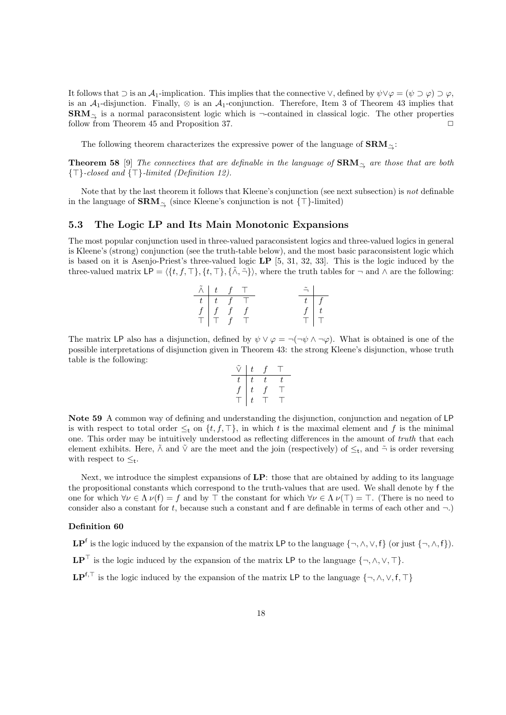It follows that  $\supset$  is an *A*<sub>1</sub>-implication. This implies that the connective  $\vee$ , defined by  $\psi \vee \varphi = (\psi \supset \varphi) \supset \varphi$ , is an  $A_1$ -disjunction. Finally,  $\otimes$  is an  $A_1$ -conjunction. Therefore, Item 3 of Theorem 43 implies that SRM<sub><sup>∠</sup></sub> is a normal paraconsistent logic which is *¬*-contained in classical logic. The other properties follow from Theorem 45 and Proposition 37.

The following theorem characterizes the expressive power of the language of **SRM***<sup>∼</sup>→*:

**Theorem 58** [9] *The connectives that are definable in the language of* **SRM***<sup>∼</sup><sup>→</sup> are those that are both {⊤}-closed and {⊤}-limited (Definition 12).*

Note that by the last theorem it follows that Kleene's conjunction (see next subsection) is *not* definable in the language of **SRM***<sup>∼</sup><sup>→</sup>* (since Kleene's conjunction is not *{⊤}*-limited)

### **5.3 The Logic LP and Its Main Monotonic Expansions**

The most popular conjunction used in three-valued paraconsistent logics and three-valued logics in general is Kleene's (strong) conjunction (see the truth-table below), and the most basic paraconsistent logic which is based on it is Asenjo-Priest's three-valued logic **LP** [5, 31, 32, 33]. This is the logic induced by the three-valued matrix  $LP = \langle \{t, f, \top\}, \{t, \top\}, \{\tilde{\wedge}, \tilde{\neg}\} \rangle$ , where the truth tables for  $\neg$  and  $\wedge$  are the following:

| $\tilde{\wedge}$ | $\pm$       |          | $-1$ | $\tilde{\mathcal{I}}$ |  |
|------------------|-------------|----------|------|-----------------------|--|
| t                |             | $f \top$ |      |                       |  |
| $f \mid$         | $f \quad f$ |          |      |                       |  |
|                  |             |          |      |                       |  |

The matrix LP also has a disjunction, defined by  $\psi \lor \varphi = \neg(\neg \psi \land \neg \varphi)$ . What is obtained is one of the possible interpretations of disjunction given in Theorem 43: the strong Kleene's disjunction, whose truth table is the following:

$$
\begin{array}{c|cc}\n\tilde{\lor} & t & f & \top \\
\hline\nt & t & t & t \\
f & t & f & \top \\
\top & t & \top & \top\n\end{array}
$$

**Note 59** A common way of defining and understanding the disjunction, conjunction and negation of LP is with respect to total order  $\leq_t$  on  $\{t, f, \top\}$ , in which *t* is the maximal element and *f* is the minimal one. This order may be intuitively understood as reflecting differences in the amount of *truth* that each element exhibits. Here,  $\tilde{\wedge}$  and  $\tilde{\vee}$  are the meet and the join (respectively) of  $\leq_t$ , and  $\tilde{\neg}$  is order reversing with respect to *≤*<sup>t</sup> .

Next, we introduce the simplest expansions of **LP**: those that are obtained by adding to its language the propositional constants which correspond to the truth-values that are used. We shall denote by f the one for which  $\forall \nu \in \Lambda$   $\nu(f) = f$  and by  $\top$  the constant for which  $\forall \nu \in \Lambda$   $\nu(\top) = \top$ . (There is no need to consider also a constant for *t*, because such a constant and f are definable in terms of each other and *¬*.)

#### **Definition 60**

 $\mathbf{LP}^f$  is the logic induced by the expansion of the matrix  $\mathsf{LP}$  to the language  $\{\neg, \wedge, \vee, f\}$  (or just  $\{\neg, \wedge, f\}$ ). **LP**<sup> $⊤$ </sup> is the logic induced by the expansion of the matrix LP to the language  $\{\neg, \land, \lor, \top\}$ . **LP**<sup>f<sub>*,*</sub><sup>T</sup> is the logic induced by the expansion of the matrix LP to the language  $\{\neg, \wedge, \vee, f, \top\}$ </sup>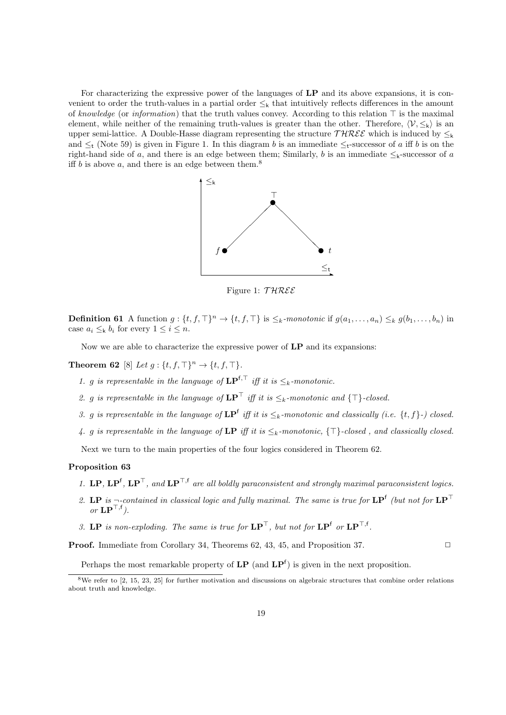For characterizing the expressive power of the languages of **LP** and its above expansions, it is convenient to order the truth-values in a partial order *≤*<sup>k</sup> that intuitively reflects differences in the amount of *knowledge* (or *information*) that the truth values convey. According to this relation *⊤* is the maximal element, while neither of the remaining truth-values is greater than the other. Therefore,  $\langle V, \leq_k \rangle$  is an upper semi-lattice. A Double-Hasse diagram representing the structure  $THREE$  which is induced by  $\leq_k$ and *≤*<sup>t</sup> (Note 59) is given in Figure 1. In this diagram *b* is an immediate *≤*t-successor of *a* iff *b* is on the right-hand side of *a*, and there is an edge between them; Similarly, *b* is an immediate  $\leq$ <sub>k</sub>-successor of *a* iff  $b$  is above  $a$ , and there is an edge between them.<sup>8</sup>



Figure 1: *T HREE*

**Definition 61** A function  $g: \{t, f, \top\}^n \to \{t, f, \top\}$  is  $\leq_k$ -monotonic if  $g(a_1, \ldots, a_n) \leq_k g(b_1, \ldots, b_n)$  in case  $a_i \leq_k b_i$  for every  $1 \leq i \leq n$ .

Now we are able to characterize the expressive power of **LP** and its expansions:

**Theorem 62** [8] *Let*  $g: \{t, f, \top\}^n \to \{t, f, \top\}$ *.* 

- *1. g is representable in the language of*  $\mathbf{LP}^{\mathbf{f}, \top}$  *iff it is* ≤*k-monotonic.*
- *2. g is representable in the language of*  $\mathbf{LP}^{\top}$  *iff it is*  $\leq$ <sub>*k*</sub>*-monotonic and*  $\{\top\}$ *-closed.*
- *3. g is representable in the language of*  $\mathbf{LP}^f$  *iff it is*  $\leq_k$ *-monotonic and classically (i.e.*  $\{t, f\}$ *-) closed.*
- *4. g is representable in the language of* **LP** *iff it is ≤k-monotonic, {⊤}-closed , and classically closed.*

Next we turn to the main properties of the four logics considered in Theorem 62.

#### **Proposition 63**

- *1.* **LP**,  $\mathbf{LP}^{\mathsf{T}}$ ,  $\mathbf{LP}^{\mathsf{T}}$ , and  $\mathbf{LP}^{\mathsf{T},\mathsf{f}}$  are all boldly paraconsistent and strongly maximal paraconsistent logics.
- *2.* **LP** *is ¬-contained in classical logic and fully maximal. The same is true for* **LP**<sup>f</sup> *(but not for* **LP***<sup>⊤</sup> or* **LP***⊤,*<sup>f</sup> *).*
- *3.* **LP** *is non-exploding. The same is true for*  $\mathbf{LP}^\top$ *, but not for*  $\mathbf{LP}^\mathsf{f}$  *or*  $\mathbf{LP}^\top$ <sup>*,*f</sup>*.*

**Proof.** Immediate from Corollary 34, Theorems 62, 43, 45, and Proposition 37. □

Perhaps the most remarkable property of  $LP$  (and  $LP<sup>f</sup>$ ) is given in the next proposition.

<sup>&</sup>lt;sup>8</sup>We refer to [2, 15, 23, 25] for further motivation and discussions on algebraic structures that combine order relations about truth and knowledge.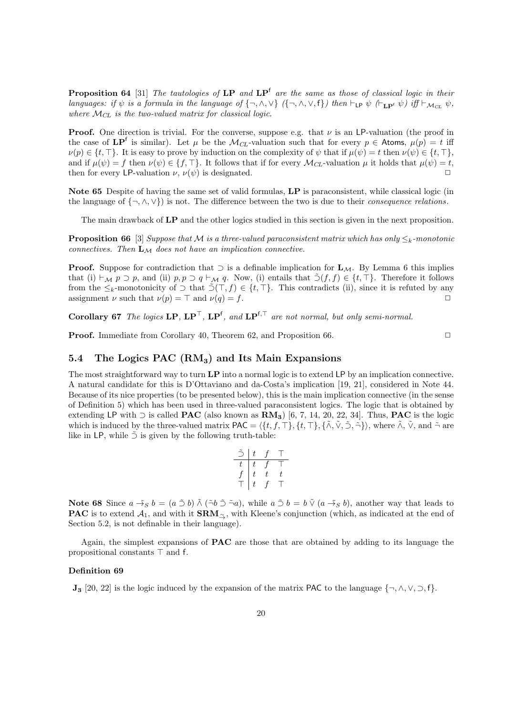**Proposition 64** [31] *The tautologies of* **LP** *and* **LP**<sup>f</sup> *are the same as those of classical logic in their* languages: if  $\psi$  is a formula in the language of  $\{\neg, \wedge, \vee\}$  ( $\{\neg, \wedge, \vee, f\}$ ) then  $\vdash_{\mathsf{LP}} \psi$  ( $\vdash_{\mathsf{LP}^f} \psi$ ) iff  $\vdash_{\mathcal{M}_{CL}} \psi$ , where  $\mathcal{M}_{CL}$  is the two-valued matrix for classical logic.

**Proof.** One direction is trivial. For the converse, suppose e.g. that *ν* is an LP-valuation (the proof in the case of  $\text{LP}^f$  is similar). Let  $\mu$  be the  $\mathcal{M}_{CL}$ -valuation such that for every  $p \in$  Atoms,  $\mu(p) = t$  iff  $\nu(p) \in \{t, \top\}$ . It is easy to prove by induction on the complexity of  $\psi$  that if  $\mu(\psi) = t$  then  $\nu(\psi) \in \{t, \top\}$ , and if  $\mu(\psi) = f$  then  $\nu(\psi) \in \{f, \top\}$ . It follows that if for every  $\mathcal{M}_{CL}$ -valuation  $\mu$  it holds that  $\mu(\psi) = t$ , then for every LP-valuation  $\nu$ ,  $\nu(\psi)$  is designated.  $\Box$ 

**Note 65** Despite of having the same set of valid formulas, **LP** is paraconsistent, while classical logic (in the language of  $\{\neg, \wedge, \vee\}$  is not. The difference between the two is due to their *consequence relations*.

The main drawback of **LP** and the other logics studied in this section is given in the next proposition.

**Proposition 66** [3] *Suppose that*  $M$  *is a three-valued paraconsistent matrix which has only*  $\leq_k$ *-monotonic connectives. Then* **L***<sup>M</sup> does not have an implication connective.*

**Proof.** Suppose for contradiction that *⊃* is a definable implication for **L***M*. By Lemma 6 this implies that (i) *⊦M p* ⊃ *p*, and (ii) *p, p* ⊃ *q ⊢M q*. Now, (i) entails that  $\tilde{O}(f, f) \in \{t, \top\}$ . Therefore it follows from the  $\leq_k$ -monotonicity of  $\supset$  that  $\tilde{\supset}(T, f) \in \{t, \top\}$ . This contradicts (ii), since it is refuted by any assignment *ν* such that  $\nu(p) = \top$  and  $\nu(q) = f$ .

**Corollary 67** *The logics* **LP***,* **LP***⊤,* **LP**<sup>f</sup> *, and* **LP**<sup>f</sup>*,<sup>⊤</sup> are not normal, but only semi-normal.*

**Proof.** Immediate from Corollary 40, Theorem 62, and Proposition 66. □

## **5.4 The Logics PAC (RM3) and Its Main Expansions**

The most straightforward way to turn **LP** into a normal logic is to extend LP by an implication connective. A natural candidate for this is D'Ottaviano and da-Costa's implication [19, 21], considered in Note 44. Because of its nice properties (to be presented below), this is the main implication connective (in the sense of Definition 5) which has been used in three-valued paraconsistent logics. The logic that is obtained by extending LP with *⊃* is called **PAC** (also known as **RM3**) [6, 7, 14, 20, 22, 34]. Thus, **PAC** is the logic which is induced by the three-valued matrix  $PAC = \langle \{t, f, \top\}, \{t, \top\}, \{\tilde{\wedge}, \tilde{\vee}, \tilde{\supset}, \tilde{\neg}\} \rangle$ , where  $\tilde{\wedge}, \tilde{\vee},$  and  $\tilde{\neg}$  are like in LP, while  $\tilde{\supset}$  is given by the following truth-table:

|   | t. |    |   |
|---|----|----|---|
| t | t  |    |   |
|   | t  | t. | t |
|   | t  |    |   |

**Note 68** Since  $a \rightarrow_S b = (a \oplus b) \land (\neg b \oplus \neg a)$ , while  $a \oplus b = b \lor (a \oplus_S b)$ , another way that leads to **PAC** is to extend *<sup>A</sup>*1, and with it **SRM***<sup>∼</sup>→*, with Kleene's conjunction (which, as indicated at the end of Section 5.2, is not definable in their language).

Again, the simplest expansions of **PAC** are those that are obtained by adding to its language the propositional constants *⊤* and f.

#### **Definition 69**

**J**<sup>3</sup> [20, 22] is the logic induced by the expansion of the matrix PAC to the language  $\{\neg, \land, \lor, \neg, \neg\}$ .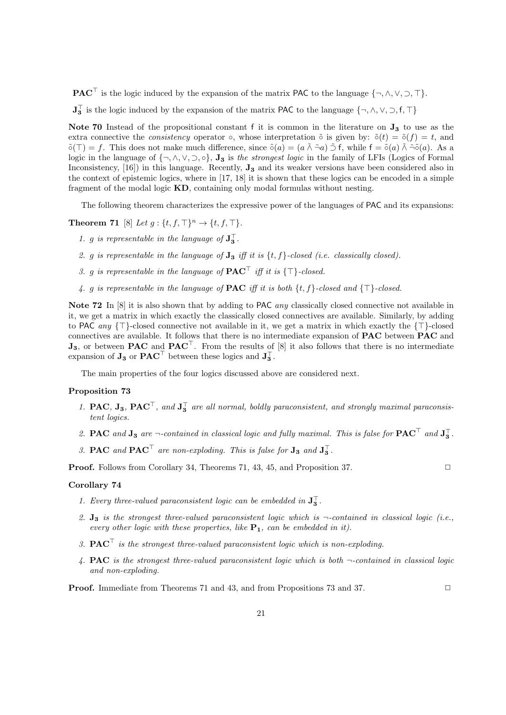**PAC***<sup>⊤</sup>* is the logic induced by the expansion of the matrix PAC to the language *{¬, ∧, ∨, ⊃, ⊤}*.

**J** *⊤* **3** is the logic induced by the expansion of the matrix PAC to the language *{¬, ∧, ∨, ⊃,* f*, ⊤}*

**Note 70** Instead of the propositional constant f it is common in the literature on **J<sup>3</sup>** to use as the extra connective the *consistency* operator  $\circ$ , whose interpretation  $\tilde{\circ}$  is given by:  $\tilde{\circ}(t) = \tilde{\circ}(f) = t$ , and ˜*◦*(*⊤*) = *f*. This does not make much difference, since ˜*◦*(*a*) = (*a ∧*˜ *¬*˜*a*) *⊃*˜ f, while f = ˜*◦*(*a*) *∧*˜ *¬*˜˜*◦*(*a*). As a logic in the language of  $\{\neg, \land, \lor, \neg, \circ\}$ ,  $J_3$  is the strongest logic in the family of LFIs (Logics of Formal Inconsistency, [16]) in this language. Recently, **J<sup>3</sup>** and its weaker versions have been considered also in the context of epistemic logics, where in [17, 18] it is shown that these logics can be encoded in a simple fragment of the modal logic **KD**, containing only modal formulas without nesting.

The following theorem characterizes the expressive power of the languages of PAC and its expansions:

**Theorem 71** [8] *Let*  $q: \{t, f, \top\}^n \to \{t, f, \top\}$ *.* 

- 1. *g* is representable in the language of  $J_3^{\perp}$ .
- 2. *g is representable in the language of*  $J_3$  *iff it is*  $\{t, f\}$ *-closed (i.e. classically closed).*
- *3. g is representable in the language of* **PAC***<sup>⊤</sup> iff it is {⊤}-closed.*
- *4. g is representable in the language of* **PAC** *iff it is both {t, f}-closed and {⊤}-closed.*

**Note 72** In [8] it is also shown that by adding to PAC *any* classically closed connective not available in it, we get a matrix in which exactly the classically closed connectives are available. Similarly, by adding to PAC *any {⊤}*-closed connective not available in it, we get a matrix in which exactly the *{⊤}*-closed connectives are available. It follows that there is no intermediate expansion of **PAC** between **PAC** and **J3**, or between **PAC** and **PAC***⊤*. From the results of [8] it also follows that there is no intermediate expansion of  $J_3$  or  $PAC^{\dagger}$  between these logics and  $J_3^{\dagger}$ .

The main properties of the four logics discussed above are considered next.

#### **Proposition 73**

- *1.* **PAC***,* **J**<sub>3</sub>*,* **PAC**<sup> $₁$ </sup>*, and* **J**<sup> $₁$ </sup><sub>**3**</sub> *are all normal, boldly paraconsistent, and strongly maximal paraconsistent logics.*
- 2. **PAC** and  $J_3$  are  $\neg$ -contained in classical logic and fully maximal. This is false for  $PAC^{\perp}$  and  $J_3^{\perp}$ .
- 3. **PAC** and  $\mathbf{PAC}^{\dagger}$  are non-exploding. This is false for  $\mathbf{J_3}$  and  $\mathbf{J_3}^{\dagger}$ .

**Proof.** Follows from Corollary 34, Theorems 71, 43, 45, and Proposition 37. □

#### **Corollary 74**

- 1. Every three-valued paraconsistent logic can be embedded in  $J_3^{\perp}$ .
- *2.* **J<sup>3</sup>** *is the strongest three-valued paraconsistent logic which is ¬-contained in classical logic (i.e., every other logic with these properties, like* **P1***, can be embedded in it).*
- *3.* **PAC***<sup>⊤</sup> is the strongest three-valued paraconsistent logic which is non-exploding.*
- *4.* **PAC** *is the strongest three-valued paraconsistent logic which is both ¬-contained in classical logic and non-exploding.*

**Proof.** Immediate from Theorems 71 and 43, and from Propositions 73 and 37. □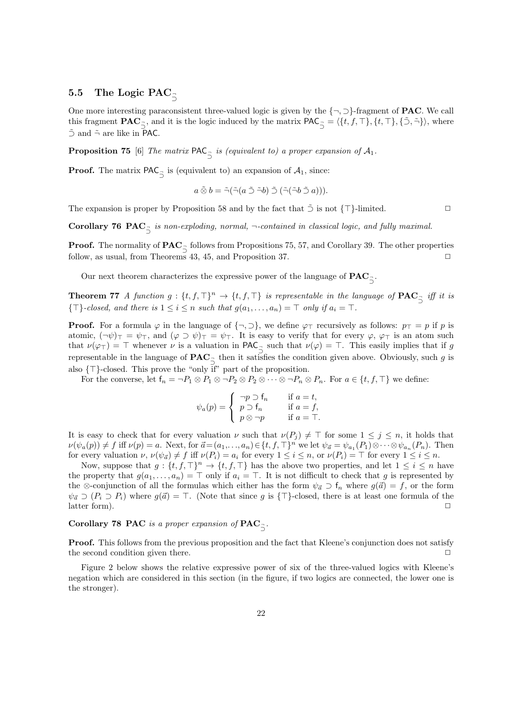# **5.5 The Logic PAC** *<sup>¬</sup> ⊃*

One more interesting paraconsistent three-valued logic is given by the *{¬, ⊃}*-fragment of **PAC**. We call this fragment  $\mathbf{PAC}_{\vec{2}}$ , and it is the logic induced by the matrix  $\mathbf{PAC}_{\vec{2}} = \langle \{t, f, \top\}, \{t, \top\}, \{\tilde{\gt}, \tilde{\neg}\} \rangle$ , where *⊃ ⊃*˜ and ˜*¬* are like in PAC.

**Proposition 75** [6] *The matrix*  $PAC$ <sub> $\bar{2}$ </sub> *is (equivalent to) a proper expansion of*  $A_1$ *.* 

**Proof.** The matrix  $PAC_{\vec{a}}$  is (equivalent to) an expansion of  $A_1$ , since:

$$
a\,\tilde{\otimes}\,b=\tilde{\neg}(\tilde{\neg}(a\,\tilde{\supset}\,\tilde{\neg}b)\,\tilde{\supset}\,(\tilde{\neg}(\tilde{\neg}b\,\tilde{\supset}\,a))).
$$

The expansion is proper by Proposition 58 and by the fact that  $\tilde{z}$  is not  $\{\top\}$ -limited.  $\Box$ 

**Corollary 76**  $\text{PAC}_{\supseteq}$  *is non-exploding, normal,*  $\neg$ -contained in classical logic, and fully maximal.

**Proof.** The normality of  $\mathbf{PAC}_{\neg}$  follows from Propositions 75, 57, and Corollary 39. The other properties  $\overrightarrow{2}$  follow, as usual, from Theorems 43, 45, and Proposition 37.  $\Box$ 

Our next theorem characterizes the expressive power of the language of  $\mathbf{PAC}_{\bar{\sup}}$ .

**Theorem 77** *A function*  $g: \{t, f, \top\}^n \to \{t, f, \top\}$  *is representable in the language of*  $\mathbf{PAC}_{\bar{\mathcal{Q}}}$  *iff it is {* $\top$ *}-closed, and there is*  $1 \leq i \leq n$  *such that*  $g(a_1, \ldots, a_n) = \top$  *only if*  $a_i = \top$ *.* 

**Proof.** For a formula  $\varphi$  in the language of  $\{\neg, \varphi\}$ , we define  $\varphi_{\top}$  recursively as follows:  $p_{\top} = p$  if  $p$  is atomic,  $(\neg \psi)_{\top} = \psi_{\top}$ , and  $(\varphi \supset \psi)_{\top} = \psi_{\top}$ . It is easy to verify that for every  $\varphi$ ,  $\varphi_{\top}$  is an atom such that  $\nu(\varphi) = \top$  whenever  $\nu$  is a valuation in PAC<sub> $\frac{\tau}{2}$ </sub> such that  $\nu(\varphi) = \top$ . This easily implies that if *g z* representable in the language of  $PAC_7$  then it satisfies the condition given above. Obviously, such *g* is *⊃* also *{⊤}*-closed. This prove the "only if" part of the proposition.

For the converse, let  $f_n = \neg P_1 \otimes P_1 \otimes \neg P_2 \otimes P_2 \otimes \cdots \otimes \neg P_n \otimes P_n$ . For  $a \in \{t, f, \top\}$  we define:

$$
\psi_a(p) = \begin{cases}\n-p \supset f_n & \text{if } a = t, \\
p \supset f_n & \text{if } a = f, \\
p \otimes \neg p & \text{if } a = T.\n\end{cases}
$$

It is easy to check that for every valuation  $\nu$  such that  $\nu(P_i) \neq \top$  for some  $1 \leq j \leq n$ , it holds that  $\nu(\psi_a(p)) \neq f$  iff  $\nu(p) = a$ . Next, for  $\vec{a} = (a_1, \ldots, a_n) \in \{t, f, \top\}^n$  we let  $\psi_{\vec{a}} = \psi_{a_1}(P_1) \otimes \cdots \otimes \psi_{a_n}(P_n)$ . Then for every valuation  $\nu, \nu(\psi_{\vec{a}}) \neq f$  iff  $\nu(P_i) = a_i$  for every  $1 \leq i \leq n$ , or  $\nu(P_i) = \top$  for every  $1 \leq i \leq n$ .

Now, suppose that  $g: \{t, f, \top\}^n \to \{t, f, \top\}$  has the above two properties, and let  $1 \leq i \leq n$  have the property that  $g(a_1, \ldots, a_n) = \top$  only if  $a_i = \top$ . It is not difficult to check that *g* is represented by the  $\otimes$ -conjunction of all the formulas which either has the form  $\psi_{\vec{a}} \supset f_n$  where  $g(\vec{a}) = f$ , or the form  $\psi_{\vec{a}}$  *⊃* ( $P_i$  *⊃*  $P_i$ ) where  $g(\vec{a}) = T$ . (Note that since *g* is {<sup>T}</sup>-closed, there is at least one formula of the latter form). <del>□</del>

**Corollary 78 PAC** *is a proper expansion of*  $\mathbf{PAC}_{\bar{2}}$ .

**Proof.** This follows from the previous proposition and the fact that Kleene's conjunction does not satisfy the second condition given there. **□** 

Figure 2 below shows the relative expressive power of six of the three-valued logics with Kleene's negation which are considered in this section (in the figure, if two logics are connected, the lower one is the stronger).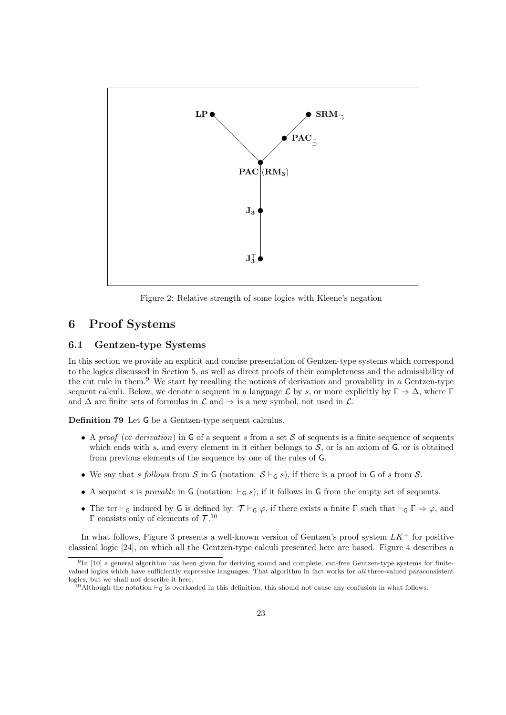

Figure 2: Relative strength of some logics with Kleene's negation

# **6 Proof Systems**

## **6.1 Gentzen-type Systems**

In this section we provide an explicit and concise presentation of Gentzen-type systems which correspond to the logics discussed in Section 5, as well as direct proofs of their completeness and the admissibility of the cut rule in them.<sup>9</sup> We start by recalling the notions of derivation and provability in a Gentzen-type sequent calculi. Below, we denote a sequent in a language  $\mathcal L$  by *s*, or more explicitly by  $\Gamma \Rightarrow \Delta$ , where  $\Gamma$ and  $\Delta$  are finite sets of formulas in  $\mathcal L$  and  $\Rightarrow$  is a new symbol, not used in  $\mathcal L$ .

**Definition 79** Let G be a Gentzen-type sequent calculus.

- *•* A *proof* (or *derivation*) in G of a sequent *s* from a set *S* of sequents is a finite sequence of sequents which ends with  $s$ , and every element in it either belongs to  $S$ , or is an axiom of  $G$ , or is obtained from previous elements of the sequence by one of the rules of G.
- *•* We say that *s follows* from *S* in G (notation: *S ⊢*<sup>G</sup> *s*), if there is a proof in G of *s* from *S*.
- *•* A sequent *s* is *provable* in G (notation: *⊢*<sup>G</sup> *s*), if it follows in G from the empty set of sequents.
- The tcr *⊦*<sub>G</sub> induced by G is defined by:  $\mathcal{T} \vdash_G \varphi$ , if there exists a finite  $\Gamma$  such that  $\vdash_G \Gamma \Rightarrow \varphi$ , and Γ consists only of elements of *T* . 10

In what follows, Figure 3 presents a well-known version of Gentzen's proof system *LK*<sup>+</sup> for positive classical logic [24], on which all the Gentzen-type calculi presented here are based. Figure 4 describes a

 $^{9}$ In [10] a general algorithm has been given for deriving sound and complete, cut-free Gentzen-type systems for finitevalued logics which have sufficiently expressive languages. That algorithm in fact works for *all* three-valued paraconsistent logics, but we shall not describe it here.

<sup>10</sup>Although the notation *⊢*<sup>G</sup> is overloaded in this definition, this should not cause any confusion in what follows.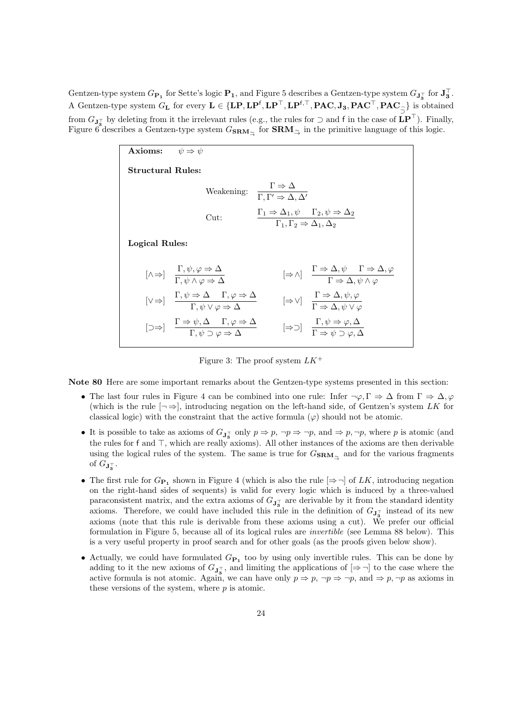Gentzen-type system  $G_{\mathbf{P_1}}$  for Sette's logic  $\mathbf{P_1}$ , and Figure 5 describes a Gentzen-type system  $G_{\mathbf{J}_3^{\top}}$  for  $\mathbf{J}_3^{\top}$ . A Gentzen-type system  $G_L$  for every  $L \in \{LP, LP^f, LP^{\top}, LP^{f,\top}, PAC, J_3, PAC^{\top}, PAC_{\preceq}\}$  is obtained from  $G_{\mathbf{J}_3^-}$  by deleting from it the irrelevant rules (e.g., the rules for *⊃* and f in the case of  $\mathbf{LP}^{\top}$ ). Finally, Figure 6 describes a Gentzen-type system *<sup>G</sup>***SRM***→∼* for **SRM***<sup>∼</sup><sup>→</sup>* in the primitive language of this logic.

| Axioms:                  | $\psi \Rightarrow \psi$                                                                                                                                                                                                                                                                  |  |
|--------------------------|------------------------------------------------------------------------------------------------------------------------------------------------------------------------------------------------------------------------------------------------------------------------------------------|--|
| <b>Structural Rules:</b> |                                                                                                                                                                                                                                                                                          |  |
|                          | $\text{Weakening:} \quad \frac{1}{\Gamma,\Gamma'\Rightarrow\Delta,\Delta'}$                                                                                                                                                                                                              |  |
|                          | $\frac{\Gamma_1 \Rightarrow \Delta_1, \psi \quad \Gamma_2, \psi \Rightarrow \Delta_2}{\Gamma_1, \Gamma_2 \Rightarrow \Delta_1, \Delta_2}$<br>$_{\text{Cut}:}$                                                                                                                            |  |
| Logical Rules:           |                                                                                                                                                                                                                                                                                          |  |
|                          | $[\Rightarrow \wedge]$ $\frac{\Gamma \Rightarrow \Delta, \psi \quad \Gamma \Rightarrow \Delta, \varphi}{\Gamma \Rightarrow \Delta, \psi \wedge \varphi}$<br>$[\wedge \Rightarrow] \quad \frac{1}{\Gamma} \cdot \psi, \varphi \Rightarrow \Delta$                                         |  |
|                          | $[\vee \Rightarrow] \quad \frac{\Gamma, \psi \Rightarrow \Delta \quad 1, \varphi \Rightarrow \Delta}{\Gamma, \psi \vee \varphi \Rightarrow \Delta}$<br>$[\Rightarrow \vee]$ $\frac{1 \Rightarrow \Delta, \psi, \varphi}{\Gamma \Rightarrow \Delta, \psi \vee \varphi}$                   |  |
|                          | $[\Box \Rightarrow] \quad \frac{\Gamma \Rightarrow \psi, \Delta \quad \Gamma, \varphi \Rightarrow \Delta}{\Gamma, \psi \supset \varphi \Rightarrow \Delta}$<br>$[\Rightarrow \supset]$ $\frac{1, \psi \Rightarrow \varphi, \Delta}{\Gamma \Rightarrow \psi \Rightarrow \varphi, \Delta}$ |  |

Figure 3: The proof system *LK*<sup>+</sup>

**Note 80** Here are some important remarks about the Gentzen-type systems presented in this section:

- The last four rules in Figure 4 can be combined into one rule: Infer  $\neg \varphi, \Gamma \Rightarrow \Delta$  from  $\Gamma \Rightarrow \Delta, \varphi$ (which is the rule  $[\neg \Rightarrow]$ , introducing negation on the left-hand side, of Gentzen's system *LK* for classical logic) with the constraint that the active formula  $(\varphi)$  should not be atomic.
- It is possible to take as axioms of  $G_{\mathbf{J}_{3}^{+}}$  only  $p \Rightarrow p, \neg p \Rightarrow \neg p$ , and  $\Rightarrow p, \neg p$ , where *p* is atomic (and the rules for f and *⊤*, which are really axioms). All other instances of the axioms are then derivable using the logical rules of the system. The same is true for *<sup>G</sup>***SRM***→∼* and for the various fragments of  $G_{\mathbf{J}_3^{\top}}$ .
- The first rule for  $G_{\mathbf{P}_1}$  shown in Figure 4 (which is also the rule  $[\Rightarrow \neg]$  of *LK*, introducing negation on the right-hand sides of sequents) is valid for every logic which is induced by a three-valued paraconsistent matrix, and the extra axioms of  $G_{\mathbf{J}_3^T}$  are derivable by it from the standard identity axioms. Therefore, we could have included this rule in the definition of  $G_{\mathbf{J}_{3}^{+}}$  instead of its new axioms (note that this rule is derivable from these axioms using a cut). We prefer our official formulation in Figure 5, because all of its logical rules are *invertible* (see Lemma 88 below). This is a very useful property in proof search and for other goals (as the proofs given below show).
- *•* Actually, we could have formulated *G***<sup>P</sup><sup>1</sup>** too by using only invertible rules. This can be done by adding to it the new axioms of  $G_{\mathbf{J}_3^T}$ , and limiting the applications of  $[\Rightarrow \neg]$  to the case where the active formula is not atomic. Again, we can have only  $p \Rightarrow p$ ,  $\neg p \Rightarrow \neg p$ , and  $\Rightarrow p$ ,  $\neg p$  as axioms in these versions of the system, where *p* is atomic.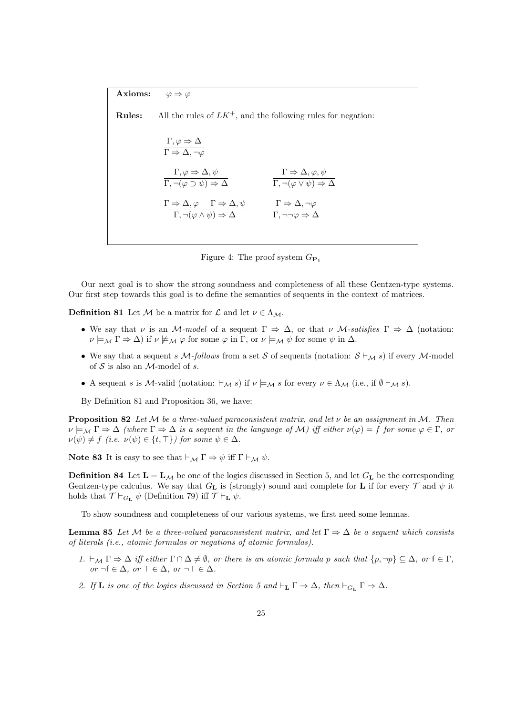**Axioms:**  $\varphi \Rightarrow \varphi$ 

**Rules:** All the rules of  $LK^+$ , and the following rules for negation:

$$
\Gamma, \varphi \Rightarrow \Delta
$$
\n
$$
\Gamma \Rightarrow \Delta, \neg \varphi
$$
\n
$$
\Gamma, \varphi \Rightarrow \Delta, \psi
$$
\n
$$
\Gamma, \neg(\varphi \supset \psi) \Rightarrow \Delta
$$
\n
$$
\Gamma \Rightarrow \Delta, \varphi, \psi
$$
\n
$$
\Gamma \Rightarrow \Delta, \varphi \quad \Gamma \Rightarrow \Delta, \psi
$$
\n
$$
\Gamma \Rightarrow \Delta, \varphi \quad \Gamma \Rightarrow \Delta, \psi
$$
\n
$$
\Gamma \Rightarrow \Delta, \neg \varphi \quad \Gamma \Rightarrow \Delta, \neg \varphi
$$
\n
$$
\Gamma, \neg(\varphi \wedge \psi) \Rightarrow \Delta
$$
\n
$$
\Gamma, \neg \neg \varphi \Rightarrow \Delta
$$



Our next goal is to show the strong soundness and completeness of all these Gentzen-type systems. Our first step towards this goal is to define the semantics of sequents in the context of matrices.

**Definition 81** Let *M* be a matrix for  $\mathcal{L}$  and let  $\nu \in \Lambda_{\mathcal{M}}$ .

- We say that *ν* is an *M-model* of a sequent  $\Gamma \Rightarrow \Delta$ , or that *ν M-satisfies*  $\Gamma \Rightarrow \Delta$  (notation:  $\nu \models_M \Gamma \Rightarrow \Delta$ ) if  $\nu \not\models_M \varphi$  for some  $\varphi$  in  $\Gamma$ , or  $\nu \models_M \psi$  for some  $\psi$  in  $\Delta$ .
- *•* We say that a sequent *s M-follows* from a set *S* of sequents (notation: *S ⊢<sup>M</sup> s*) if every *M*-model of *S* is also an *M*-model of *s*.
- *•* A sequent *s* is *M*-valid (notation: *⊢<sup>M</sup> s*) if *ν |*=*<sup>M</sup> s* for every *ν ∈* Λ*<sup>M</sup>* (i.e., if *∅ ⊢<sup>M</sup> s*).

By Definition 81 and Proposition 36, we have:

**Proposition 82** *Let M be a three-valued paraconsistent matrix, and let ν be an assignment in M. Then*  $\nu \models_M \Gamma \Rightarrow \Delta$  *(where*  $\Gamma \Rightarrow \Delta$  *is a sequent in the language of M) iff either*  $\nu(\varphi) = f$  *for some*  $\varphi \in \Gamma$ *, or*  $\nu(\psi) \neq f$  (*i.e.*  $\nu(\psi) \in \{t, \top\}$ ) for some  $\psi \in \Delta$ .

**Note 83** It is easy to see that  $\vdash_{\mathcal{M}} \Gamma \Rightarrow \psi$  iff  $\Gamma \vdash_{\mathcal{M}} \psi$ .

**Definition 84** Let  $L = L_M$  be one of the logics discussed in Section 5, and let  $G_L$  be the corresponding Gentzen-type calculus. We say that  $G_{\mathbf{L}}$  is (strongly) sound and complete for **L** if for every  $\mathcal T$  and  $\psi$  it holds that  $\mathcal{T} \vdash_{G_{\mathbf{L}}} \psi$  (Definition 79) iff  $\mathcal{T} \vdash_{\mathbf{L}} \psi$ .

To show soundness and completeness of our various systems, we first need some lemmas.

**Lemma 85** Let M be a three-valued paraconsistent matrix, and let  $\Gamma \Rightarrow \Delta$  be a sequent which consists *of literals (i.e., atomic formulas or negations of atomic formulas).*

- 1.  $\vdash_{\mathcal{M}} \Gamma \Rightarrow \Delta$  iff either  $\Gamma \cap \Delta \neq \emptyset$ , or there is an atomic formula p such that  $\{p, \neg p\} \subseteq \Delta$ , or  $f \in \Gamma$ , *or ¬*f *∈* ∆*, or ⊤ ∈* ∆*, or ¬⊤ ∈* ∆*.*
- *2. If* **L** *is one of the logics discussed in Section 5 and*  $\vdash_L \Gamma \Rightarrow \Delta$ *, then*  $\vdash_{G_L} \Gamma \Rightarrow \Delta$ *.*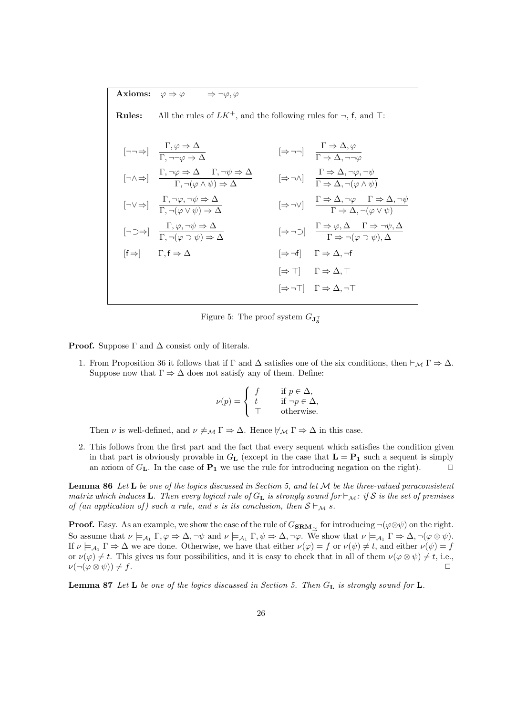**Axioms:**  $\varphi \Rightarrow \varphi \Rightarrow \neg \varphi, \varphi$ 

**Rules:** All the rules of *LK*<sup>+</sup>, and the following rules for *¬*, f, and *⊤*:

$$
[\neg \neg \Rightarrow] \quad \frac{\Gamma, \varphi \Rightarrow \Delta}{\Gamma, \neg \neg \varphi \Rightarrow \Delta} \qquad [\Rightarrow \neg \neg] \quad \frac{\Gamma \Rightarrow \Delta, \varphi}{\Gamma \Rightarrow \Delta, \neg \neg \varphi}
$$
\n
$$
[\neg \wedge \Rightarrow] \quad \frac{\Gamma, \neg \varphi \Rightarrow \Delta}{\Gamma, \neg (\varphi \wedge \psi) \Rightarrow \Delta} \qquad [\Rightarrow \neg \wedge] \quad \frac{\Gamma \Rightarrow \Delta, \neg \varphi, \neg \psi}{\Gamma \Rightarrow \Delta, \neg (\varphi \wedge \psi)}
$$
\n
$$
[\neg \vee \Rightarrow] \quad \frac{\Gamma, \neg \varphi, \neg \psi \Rightarrow \Delta}{\Gamma, \neg (\varphi \vee \psi) \Rightarrow \Delta} \qquad [\Rightarrow \neg \vee] \quad \frac{\Gamma \Rightarrow \Delta, \neg \varphi, \neg \psi}{\Gamma \Rightarrow \Delta, \neg (\varphi \wedge \psi)}
$$
\n
$$
[\neg \supset \Rightarrow] \quad \frac{\Gamma, \varphi, \neg \psi \Rightarrow \Delta}{\Gamma, \neg (\varphi \vee \psi) \Rightarrow \Delta} \qquad [\Rightarrow \neg \vee] \quad \frac{\Gamma \Rightarrow \varphi, \Delta}{\Gamma \Rightarrow \Delta, \neg (\varphi \vee \psi)}
$$
\n
$$
[\Rightarrow \neg] \quad \frac{\Gamma \Rightarrow \varphi, \Delta}{\Gamma \Rightarrow \neg (\varphi \supset \psi), \Delta}
$$
\n
$$
[\Rightarrow \neg \neg] \quad \frac{\Gamma \Rightarrow \varphi, \Delta}{\Gamma \Rightarrow \neg (\varphi \supset \psi), \Delta}
$$
\n
$$
[\Rightarrow \neg \neg] \quad \frac{\Gamma \Rightarrow \varphi, \Delta}{\Gamma \Rightarrow \neg (\varphi \supset \psi), \Delta}
$$
\n
$$
[\Rightarrow \neg \neg] \quad \frac{\Gamma \Rightarrow \varphi, \Delta}{\Gamma \Rightarrow \Delta, \neg (\varphi \vee \psi)}
$$

Figure 5: The proof system  $G_{\mathbf{J}_{3}^{+}}$ 

**Proof.** Suppose  $\Gamma$  and  $\Delta$  consist only of literals.

1. From Proposition 36 it follows that if  $\Gamma$  and  $\Delta$  satisfies one of the six conditions, then  $\vdash_{\mathcal{M}} \Gamma \Rightarrow \Delta$ . Suppose now that  $\Gamma \Rightarrow \Delta$  does not satisfy any of them. Define:

$$
\nu(p) = \begin{cases} f & \text{if } p \in \Delta, \\ t & \text{if } \neg p \in \Delta, \\ \top & \text{otherwise.} \end{cases}
$$

Then *ν* is well-defined, and  $\nu \not\models_M \Gamma \Rightarrow \Delta$ . Hence  $\nvdash_M \Gamma \Rightarrow \Delta$  in this case.

2. This follows from the first part and the fact that every sequent which satisfies the condition given in that part is obviously provable in  $G_{\mathbf{L}}$  (except in the case that  $\mathbf{L} = \mathbf{P}_1$  such a sequent is simply an axiom of  $G_{\mathbf{L}}$ . In the case of  $\mathbf{P}_1$  we use the rule for introducing negation on the right).

**Lemma 86** *Let* **L** *be one of the logics discussed in Section 5, and let M be the three-valued paraconsistent matrix which induces* **L***. Then every logical rule of*  $G_L$  *is strongly sound for*  $\vdash_{\mathcal{M}}$ *: if*  $S$  *is the set of premises of (an application of) such a rule, and s is its conclusion, then*  $S \vdash_M s$ .

**Proof.** Easy. As an example, we show the case of the rule of  $G_{\text{SRM}\sim\text{}}$  for introducing  $\neg(\varphi \otimes \psi)$  on the right. So assume that  $\nu \models_{\mathcal{A}_1} \Gamma, \varphi \Rightarrow \Delta, \neg \psi$  and  $\nu \models_{\mathcal{A}_1} \Gamma, \psi \Rightarrow \Delta, \neg \varphi$ . We show that  $\nu \models_{\mathcal{A}_1} \Gamma \Rightarrow \Delta, \neg (\varphi \otimes \psi)$ . If  $\nu \models_{\mathcal{A}_1} \Gamma \Rightarrow \Delta$  we are done. Otherwise, we have that either  $\nu(\varphi) = f$  or  $\nu(\psi) \neq t$ , and either  $\nu(\psi) = f$ or  $\nu(\varphi) \neq t$ . This gives us four possibilities, and it is easy to check that in all of them  $\nu(\varphi \otimes \psi) \neq t$ , i.e., *ν*( $\neg$ ( $\varphi \otimes \psi$ )) ≠ *f*.  $\Box$ 

**Lemma 87** *Let* **L** *be one of the logics discussed in Section 5. Then G***<sup>L</sup>** *is strongly sound for* **L***.*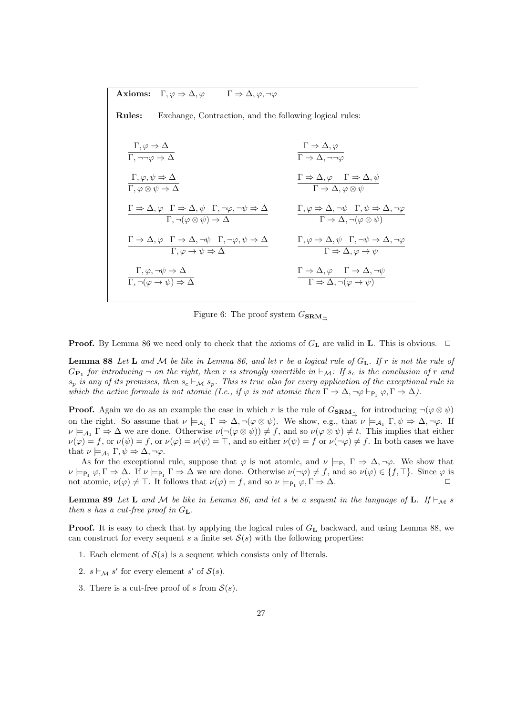**Axioms:**  $\Gamma, \varphi \Rightarrow \Delta, \varphi$   $\Gamma \Rightarrow \Delta, \varphi, \neg \varphi$ 

**Rules:** Exchange, Contraction, and the following logical rules:  $\Gamma, \varphi \Rightarrow \Delta$ Γ*, ¬¬φ ⇒* ∆  $\Gamma \Rightarrow \Delta, \varphi$  $Γ ⇒ Δ, ¬¬φ$  $\Gamma, \varphi, \psi \Rightarrow \Delta$  $\Gamma,\varphi \otimes \psi \Rightarrow \Delta$  $\Gamma \Rightarrow \Delta, \varphi \quad \Gamma \Rightarrow \Delta, \psi$  $\Gamma \Rightarrow \Delta, \varphi \otimes \psi$  $\Gamma \Rightarrow \Delta, \varphi \quad \Gamma \Rightarrow \Delta, \psi \quad \Gamma, \neg \varphi, \neg \psi \Rightarrow \Delta$  $Γ, φ ⇒ Δ, ¬ψ Γ, ψ ⇒ Δ, ¬φ$ 

$$
\Gamma \to \Delta, \varphi \quad \Gamma \to \Delta, \neg(\varphi \otimes \psi) \Rightarrow \Delta
$$
\n
$$
\Gamma \to \Delta, \neg(\varphi \otimes \psi)
$$
\n
$$
\Gamma \to \Delta, \neg(\varphi \otimes \psi)
$$
\n
$$
\Gamma \to \Delta, \neg(\varphi \otimes \psi)
$$
\n
$$
\Gamma, \varphi \to \Delta, \neg\psi \to \Delta
$$
\n
$$
\Gamma, \varphi, \neg\psi \to \Delta
$$
\n
$$
\Gamma \to \Delta, \varphi \quad \Gamma \to \Delta, \neg\psi
$$
\n
$$
\Gamma \to \Delta, \varphi \quad \neg \psi
$$
\n
$$
\Gamma \to \Delta, \varphi \quad \Gamma \to \Delta, \neg\psi
$$
\n
$$
\Gamma \to \Delta, \neg(\varphi \to \psi)
$$

Figure 6: The proof system *<sup>G</sup>***SRM***→∼*

**Proof.** By Lemma 86 we need only to check that the axioms of  $G<sub>L</sub>$  are valid in **L**. This is obvious.  $\Box$ 

**Lemma 88** *Let* **L** *and M be like in Lemma 86, and let r be a logical rule of G***L***. If r is not the rule of*  $G_{\mathbf{P_1}}$  *for introducing*  $\neg$  *on the right, then r is strongly invertible in*  $\vdash_{\mathcal{M}}$ *: If s<sub>c</sub> is the conclusion of r and*  $s_p$  *is any of its premises, then*  $s_c \vdash_{\mathcal{M}} s_p$ *. This is true also for every application of the exceptional rule in which the active formula is not atomic (I.e., if*  $\varphi$  *<i>is not atomic then*  $\Gamma \Rightarrow \Delta, \neg \varphi \vdash_{\mathsf{P}_1} \varphi, \Gamma \Rightarrow \Delta$ ).

**Proof.** Again we do as an example the case in which *r* is the rule of  $G_{\text{SRM}\sim\gamma}$  for introducing  $\neg(\varphi \otimes \psi)$ on the right. So assume that  $\nu \models_{\mathcal{A}_1} \Gamma \Rightarrow \Delta, \neg(\varphi \otimes \psi)$ . We show, e.g., that  $\nu \models_{\mathcal{A}_1} \Gamma, \psi \Rightarrow \Delta, \neg\varphi$ . If  $\nu \models_{\mathcal{A}_1} \Gamma \Rightarrow \Delta$  we are done. Otherwise  $\nu(\neg(\varphi \otimes \psi)) \neq f$ , and so  $\nu(\varphi \otimes \psi) \neq t$ . This implies that either  $\nu(\varphi) = f$ , or  $\nu(\psi) = f$ , or  $\nu(\varphi) = \nu(\psi) = \top$ , and so either  $\nu(\psi) = f$  or  $\nu(\neg \varphi) \neq f$ . In both cases we have that  $\nu \models_{\mathcal{A}_1} \Gamma, \psi \Rightarrow \Delta, \neg \varphi$ .

As for the exceptional rule, suppose that  $\varphi$  is not atomic, and  $\nu \models_{P_1} \Gamma \Rightarrow \Delta, \neg \varphi$ . We show that  $\nu \models_{\mathsf{P}_1} \varphi, \Gamma \Rightarrow \Delta$ . If  $\nu \models_{\mathsf{P}_1} \Gamma \Rightarrow \Delta$  we are done. Otherwise  $\nu(\neg \varphi) \neq f$ , and so  $\nu(\varphi) \in \{f, \top\}$ . Since  $\varphi$  is not atomic,  $\nu(\varphi) \neq \top$ . It follows that  $\nu(\varphi) = f$ , and so  $\nu \models_{P_1} \varphi, \Gamma \Rightarrow \Delta$ .

**Lemma 89** Let **L** and M be like in Lemma 86, and let s be a sequent in the language of **L**. If  $\vdash_M$  is *then s has a cut-free proof in G***L***.*

**Proof.** It is easy to check that by applying the logical rules of  $G<sub>L</sub>$  backward, and using Lemma 88, we can construct for every sequent *s* a finite set  $S(s)$  with the following properties:

- 1. Each element of  $S(s)$  is a sequent which consists only of literals.
- 2.  $s \vdash_{\mathcal{M}} s'$  for every element  $s'$  of  $\mathcal{S}(s)$ .
- 3. There is a cut-free proof of *s* from  $S(s)$ .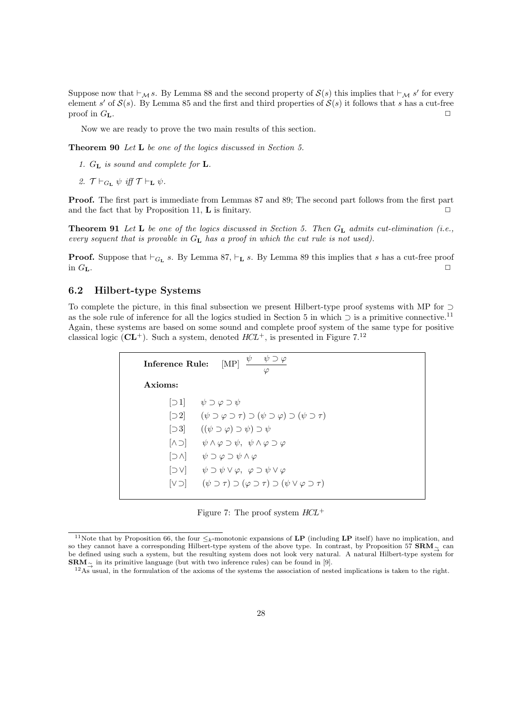Suppose now that *⊦M s*. By Lemma 88 and the second property of  $S(s)$  this implies that  $\vdash_M s'$  for every element *s'* of  $S(s)$ . By Lemma 85 and the first and third properties of  $S(s)$  it follows that *s* has a cut-free proof in  $G$ **L**.

Now we are ready to prove the two main results of this section.

**Theorem 90** *Let* **L** *be one of the logics discussed in Section 5.*

- *1. G***<sup>L</sup>** *is sound and complete for* **L***.*
- *2.*  $\mathcal{T} \vdash_{G_{\mathbf{L}}} \psi$  *iff*  $\mathcal{T} \vdash_{\mathbf{L}} \psi$ *.*

**Proof.** The first part is immediate from Lemmas 87 and 89; The second part follows from the first part and the fact that by Proposition 11, **L** is finitary.  $\Box$ 

**Theorem 91** *Let* **L** *be one of the logics discussed in Section 5. Then G***<sup>L</sup>** *admits cut-elimination (i.e., every sequent that is provable in G***<sup>L</sup>** *has a proof in which the cut rule is not used).*

**Proof.** Suppose that *⊢<sup>G</sup>***<sup>L</sup>** *s*. By Lemma 87, *⊢***<sup>L</sup>** *s*. By Lemma 89 this implies that *s* has a cut-free proof in  $G$ **L**.  $\Box$ 

## **6.2 Hilbert-type Systems**

To complete the picture, in this final subsection we present Hilbert-type proof systems with MP for *⊃* as the sole rule of inference for all the logics studied in Section 5 in which *⊃* is a primitive connective.<sup>11</sup> Again, these systems are based on some sound and complete proof system of the same type for positive classical logic  $(CL^+)$ . Such a system, denoted  $HCL^+$ , is presented in Figure 7.<sup>12</sup>

| $\psi \quad \psi \supset \varphi$<br>[MP]<br>Inference Rule:<br>$\varphi$ |                                                                                                                     |  |  |  |  |
|---------------------------------------------------------------------------|---------------------------------------------------------------------------------------------------------------------|--|--|--|--|
| Axioms:                                                                   |                                                                                                                     |  |  |  |  |
|                                                                           | $\lbrack \supset 1 \rbrack \quad \psi \supset \varphi \supset \psi$                                                 |  |  |  |  |
|                                                                           | $[\supset 2] \qquad (\psi \supset \varphi \supset \tau) \supset (\psi \supset \varphi) \supset (\psi \supset \tau)$ |  |  |  |  |
|                                                                           | $[\supset 3]$ $((\psi \supset \varphi) \supset \psi) \supset \psi$                                                  |  |  |  |  |
|                                                                           | $[ \land \supset ] \qquad \psi \land \varphi \supset \psi, \ \psi \land \varphi \supset \varphi$                    |  |  |  |  |
|                                                                           | $[\supset \wedge]$ $\psi \supset \varphi \supset \psi \wedge \varphi$                                               |  |  |  |  |
|                                                                           | $[\supset V]$ $\psi \supset \psi \vee \varphi, \varphi \supset \psi \vee \varphi$                                   |  |  |  |  |
|                                                                           | $[\vee \supset] \qquad (\psi \supset \tau) \supset (\varphi \supset \tau) \supset (\psi \vee \varphi \supset \tau)$ |  |  |  |  |

Figure 7: The proof system *HCL*<sup>+</sup>

<sup>&</sup>lt;sup>11</sup>Note that by Proposition 66, the four  $\leq_k$ -monotonic expansions of **LP** (including **LP** itself) have no implication, and so they cannot have a corresponding Hilbert-type system of the above type. In contrast, by Proposition 57 **SRM***→<sup>∼</sup>* can be defined using such a system, but the resulting system does not look very natural. A natural Hilbert-type system for **SRM** $\sim$  in its primitive language (but with two inference rules) can be found in [9].

<sup>&</sup>lt;sup>12</sup>As usual, in the formulation of the axioms of the systems the association of nested implications is taken to the right.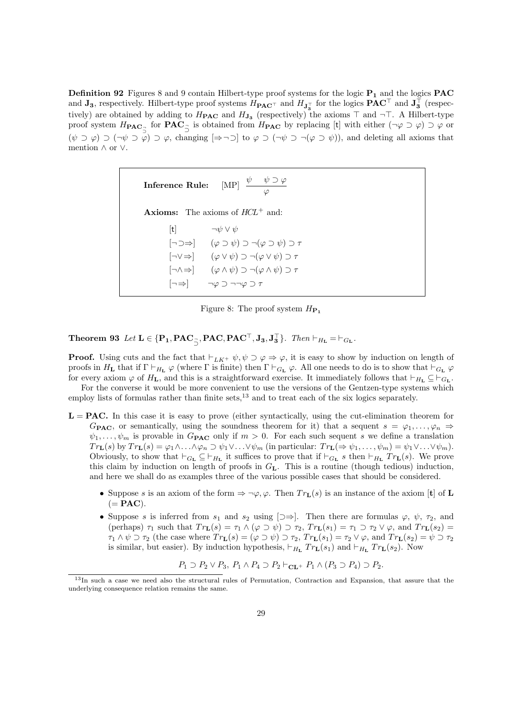**Definition 92** Figures 8 and 9 contain Hilbert-type proof systems for the logic **P<sup>1</sup>** and the logics **PAC** and  $J_3$ , respectively. Hilbert-type proof systems  $H_{\text{PAC}}\tau$  and  $H_{J_3^+}$  for the logics  $\text{PAC}^+$  and  $J_3^+$  (respectively) are obtained by adding to  $H_{\text{PAC}}$  and  $H_{\text{J}_3}$  (respectively) the axioms  $\top$  and  $\neg \top$ . A Hilbert-type proof system  $H_{\text{PAC}}$ <sub>3</sub> for  $\text{PAC}_5$  is obtained from  $H_{\text{PAC}}$  by replacing [t] with either  $(\neg \varphi \supset \varphi) \supset \varphi$  or  $(\psi \supset \varphi) \supset (\neg \psi \supset \varphi) \supset \varphi$ , changing  $[\Rightarrow \neg \supset]$  to  $\varphi \supset (\neg \psi \supset \neg (\varphi \supset \psi))$ , and deleting all axioms that mention *∧* or *∨*.

| <b>Inference Rule:</b> [MP] $\frac{\psi \psi \partial \varphi}{\psi \partial \varphi}$<br>$\varphi$                |  |
|--------------------------------------------------------------------------------------------------------------------|--|
| <b>Axioms:</b> The axioms of $HCL^+$ and:                                                                          |  |
| t  $\neg \psi \lor \psi$                                                                                           |  |
| $\lceil \neg \supset \Rightarrow \rceil$ $(\varphi \supset \psi) \supset \neg (\varphi \supset \psi) \supset \tau$ |  |
| $[\neg \vee \Rightarrow]$ $(\varphi \vee \psi) \supset \neg (\varphi \vee \psi) \supset \tau$                      |  |
| $[\neg \land \Rightarrow]$ $(\varphi \land \psi) \supset \neg (\varphi \land \psi) \supset \tau$                   |  |
| $\lceil \neg \Rightarrow \rceil$ $\neg \varphi \supset \neg \neg \varphi \supset \tau$                             |  |

Figure 8: The proof system  $H_{\mathbf{P}_1}$ 

**Theorem 93** Let  $L \in \{P_1, PAC_{\overrightarrow{2}},PAC, PAC^{\dagger},J_3,J_3^{\dagger}\}\$ . Then  $\vdash_{H_L} = \vdash_{G_L}$ .

**Proof.** Using cuts and the fact that  $\vdash_{LK^+} \psi, \psi \supset \varphi \Rightarrow \varphi$ , it is easy to show by induction on length of proofs in  $H_L$  that if  $\Gamma \vdash_{H_L} \varphi$  (where  $\Gamma$  is finite) then  $\Gamma \vdash_{G_L} \varphi$ . All one needs to do is to show that  $\vdash_{G_L} \varphi$ for every axiom  $\varphi$  of  $H_L$ , and this is a straightforward exercise. It immediately follows that  $\vdash_{H_L} \subseteq \vdash_{G_L}$ .

For the converse it would be more convenient to use the versions of the Gentzen-type systems which employ lists of formulas rather than finite sets, $^{13}$  and to treat each of the six logics separately.

- $L = PAC$ . In this case it is easy to prove (either syntactically, using the cut-elimination theorem for *G***PAC**, or semantically, using the soundness theorem for it) that a sequent  $s = \varphi_1, \ldots, \varphi_n \Rightarrow$  $\psi_1, \ldots, \psi_m$  is provable in  $G_{\text{PAC}}$  only if  $m > 0$ . For each such sequent *s* we define a translation  $Tr_{\mathbf{L}}(s)$  by  $Tr_{\mathbf{L}}(s) = \varphi_1 \wedge \ldots \wedge \varphi_n \supset \psi_1 \vee \ldots \vee \psi_m$  (in particular:  $Tr_{\mathbf{L}}(\Rightarrow \psi_1, \ldots, \psi_m) = \psi_1 \vee \ldots \vee \psi_m$ ). Obviously, to show that  $\vdash_{G_{\mathbf{L}}} \subseteq \vdash_{H_{\mathbf{L}}}$  it suffices to prove that if  $\vdash_{G_{\mathbf{L}}} s$  then  $\vdash_{H_{\mathbf{L}}} Tr_{\mathbf{L}}(s)$ . We prove this claim by induction on length of proofs in *G***L**. This is a routine (though tedious) induction, and here we shall do as examples three of the various possible cases that should be considered.
	- Suppose *s* is an axiom of the form  $\Rightarrow \neg \varphi, \varphi$ . Then  $Tr_{\mathbf{L}}(s)$  is an instance of the axiom [**t**] of **L**  $(= **PAC**).$
	- Suppose *s* is inferred from  $s_1$  and  $s_2$  using  $[\supset \Rightarrow]$ . Then there are formulas  $\varphi$ ,  $\psi$ ,  $\tau_2$ , and (perhaps)  $\tau_1$  such that  $Tr_{L}(s) = \tau_1 \wedge (\varphi \supset \psi) \supset \tau_2$ ,  $Tr_{L}(s_1) = \tau_1 \supset \tau_2 \vee \varphi$ , and  $Tr_{L}(s_2) =$  $\tau_1 \wedge \psi \supset \tau_2$  (the case where  $Tr_{\mathbf{L}}(s) = (\varphi \supset \psi) \supset \tau_2$ ,  $Tr_{\mathbf{L}}(s_1) = \tau_2 \vee \varphi$ , and  $Tr_{\mathbf{L}}(s_2) = \psi \supset \tau_2$ is similar, but easier). By induction hypothesis,  $\vdash_{H_{\mathbf{L}}} Tr_{\mathbf{L}}(s_1)$  and  $\vdash_{H_{\mathbf{L}}} Tr_{\mathbf{L}}(s_2)$ . Now

$$
P_1 \supset P_2 \vee P_3, P_1 \wedge P_4 \supset P_2 \vdash_{\mathbf{CL}^+} P_1 \wedge (P_3 \supset P_4) \supset P_2.
$$

<sup>&</sup>lt;sup>13</sup>In such a case we need also the structural rules of Permutation, Contraction and Expansion, that assure that the underlying consequence relation remains the same.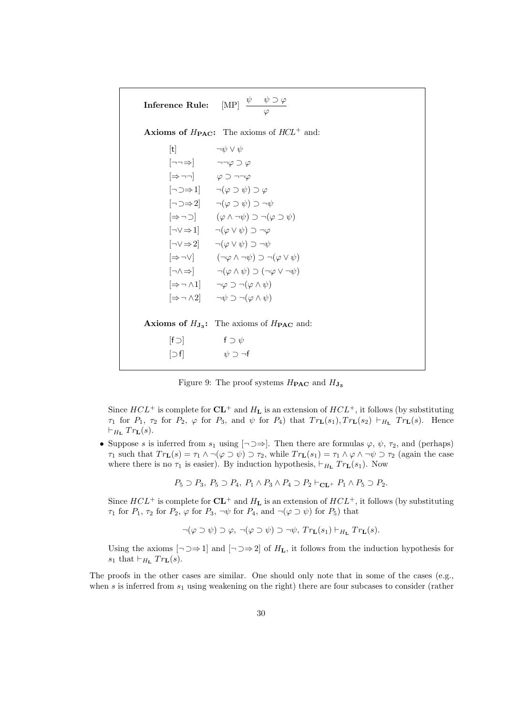|                                                               | <b>Inference Rule:</b> [MP] $\frac{\psi - \psi \supset \varphi}{\varphi}$                        |
|---------------------------------------------------------------|--------------------------------------------------------------------------------------------------|
|                                                               | <b>Axioms of <math>H_{\text{PAC}}</math>:</b> The axioms of $HCL^+$ and:                         |
| [t] $\neg \psi \lor \psi$                                     |                                                                                                  |
| $[\neg\neg \Rightarrow]$ $\neg \neg \varphi \supset \varphi$  |                                                                                                  |
| $[\Rightarrow \neg \neg]$ $\varphi \supset \neg \neg \varphi$ |                                                                                                  |
|                                                               | $[\neg \supset \Rightarrow 1]$ $\qquad \neg(\varphi \supset \psi) \supset \varphi$               |
|                                                               | $[\neg \Box \Rightarrow 2]$ $\qquad \neg (\varphi \supset \psi) \supset \neg \psi$               |
|                                                               | $[\Rightarrow \neg \supset]$ $(\varphi \wedge \neg \psi) \supset \neg (\varphi \supset \psi)$    |
|                                                               | $[\neg \vee \Rightarrow 1]$ $\neg(\varphi \vee \psi) \supset \neg \varphi$                       |
|                                                               | $[\neg \vee \Rightarrow 2]$ $\neg(\varphi \vee \psi) \supset \neg \psi$                          |
|                                                               | $[\Rightarrow \neg \lor]$ $(\neg \varphi \land \neg \psi) \supset \neg (\varphi \lor \psi)$      |
|                                                               | $[\neg \land \Rightarrow] \qquad \neg(\varphi \land \psi) \supset (\neg \varphi \lor \neg \psi)$ |
|                                                               | $[\Rightarrow \neg \wedge 1]$ $\neg \varphi \supset \neg (\varphi \wedge \psi)$                  |
|                                                               | $[\Rightarrow \neg \wedge 2]$ $\neg \psi \supset \neg (\varphi \wedge \psi)$                     |
|                                                               | <b>Axioms of <math>H_{J_3}</math>:</b> The axioms of $H_{\text{PAC}}$ and:                       |
| $[f \supset]$ $f \supset \psi$                                |                                                                                                  |
| $\cup$ f $\mid$                                               | $\psi \supset \neg f$                                                                            |
|                                                               |                                                                                                  |

Figure 9: The proof systems  $H_{\text{PAC}}$  and  $H_{\text{J}_3}$ 

Since  $HCL^+$  is complete for  $CL^+$  and  $H<sub>L</sub>$  is an extension of  $HCL^+$ , it follows (by substituting  $\tau_1$  for  $P_1$ ,  $\tau_2$  for  $P_2$ ,  $\varphi$  for  $P_3$ , and  $\psi$  for  $P_4$ ) that  $Tr_L(s_1), Tr_L(s_2) \vdash_{H_L} Tr_L(s)$ . Hence  $⊢$ <sup>*H***L**</sup>  $Tr$ **L** $(s)$ .

• Suppose *s* is inferred from  $s_1$  using  $[\neg \exists \Rightarrow]$ . Then there are formulas  $\varphi$ ,  $\psi$ ,  $\tau_2$ , and (perhaps)  $\tau_1$  such that  $Tr_{\mathbf{L}}(s) = \tau_1 \wedge \neg(\varphi \supset \psi) \supset \tau_2$ , while  $Tr_{\mathbf{L}}(s_1) = \tau_1 \wedge \varphi \wedge \neg \psi \supset \tau_2$  (again the case where there is no  $\tau_1$  is easier). By induction hypothesis,  $\vdash_{H_{\mathbf{L}}} Tr_{\mathbf{L}}(s_1)$ . Now

 $P_5 \supset P_3$ ,  $P_5 \supset P_4$ ,  $P_1 \wedge P_3 \wedge P_4 \supset P_2 \vdash_{\mathbf{CL}^+} P_1 \wedge P_5 \supset P_2$ .

Since  $HCL^+$  is complete for  $CL^+$  and  $H_L$  is an extension of  $HCL^+$ , it follows (by substituting *τ*<sub>1</sub> for *P*<sub>1</sub>, *τ*<sub>2</sub> for *P*<sub>2</sub>,  $\varphi$  for *P*<sub>3</sub>,  $\neg \psi$  for *P*<sub>4</sub>, and  $\neg (\varphi \supset \psi)$  for *P*<sub>5</sub>) that

$$
\neg(\varphi \supset \psi) \supset \varphi, \ \neg(\varphi \supset \psi) \supset \neg \psi, \ Tr_{\mathbf{L}}(s_1) \vdash_{H_{\mathbf{L}}} Tr_{\mathbf{L}}(s).
$$

Using the axioms  $[\neg \Box \Rightarrow 1]$  and  $[\neg \Box \Rightarrow 2]$  of  $H_L$ , it follows from the induction hypothesis for  $s_1$  that  $\vdash_{H_{\mathbf{L}}} Tr_{\mathbf{L}}(s)$ .

The proofs in the other cases are similar. One should only note that in some of the cases (e.g., when *s* is inferred from  $s_1$  using weakening on the right) there are four subcases to consider (rather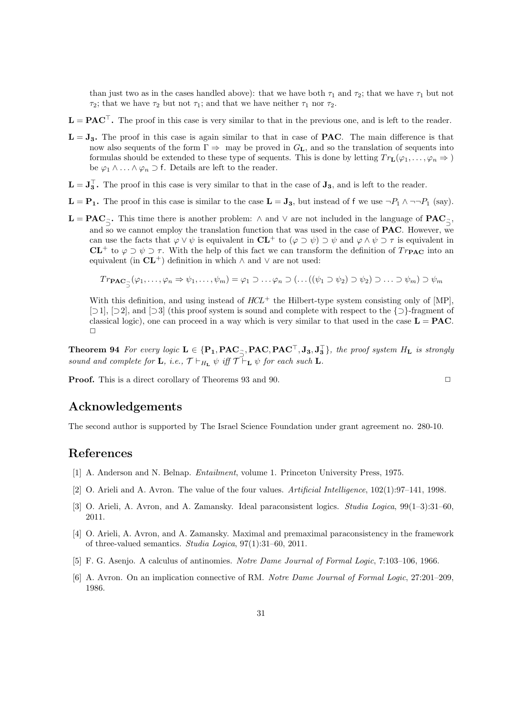than just two as in the cases handled above): that we have both  $\tau_1$  and  $\tau_2$ ; that we have  $\tau_1$  but not *τ*<sub>2</sub>; that we have *τ*<sub>2</sub> but not *τ*<sub>1</sub>; and that we have neither *τ*<sub>1</sub> nor *τ*<sub>2</sub>.

- **L** = **PAC***⊤***.** The proof in this case is very similar to that in the previous one, and is left to the reader.
- $L = J_3$ . The proof in this case is again similar to that in case of **PAC**. The main difference is that now also sequents of the form  $\Gamma \Rightarrow$  may be proved in  $G_L$ , and so the translation of sequents into formulas should be extended to these type of sequents. This is done by letting  $Tr_L(\varphi_1, \ldots, \varphi_n \Rightarrow)$ be  $\varphi_1 \wedge \ldots \wedge \varphi_n \supset f$ . Details are left to the reader.
- $\mathbf{L} = \mathbf{J}_3$ . The proof in this case is very similar to that in the case of  $\mathbf{J}_3$ , and is left to the reader.
- **L** = **P**<sub>1</sub>**.** The proof in this case is similar to the case **L** = **J**<sub>3</sub>, but instead of f we use  $\neg P_1 \land \neg \neg P_1$  (say).
- $\mathbf{L} = \mathbf{PAC}_{\preceq}$ . This time there is another problem:  $\wedge$  and  $\vee$  are not included in the language of  $\mathbf{PAC}_{\preceq}$ , *⊃ ⊃* and so we cannot employ the translation function that was used in the case of **PAC**. However, we can use the facts that  $\varphi \lor \psi$  is equivalent in  $CL^+$  to  $(\varphi \supset \psi) \supset \psi$  and  $\varphi \land \psi \supset \tau$  is equivalent in **CL**<sup>+</sup> to  $\varphi \supset \psi \supset \tau$ . With the help of this fact we can transform the definition of  $Tr_{\text{PAC}}$  into an equivalent (in  $CL^+$ ) definition in which  $\land$  and  $\lor$  are not used:

$$
Tr_{\mathbf{PAC}_{\exists}}(\varphi_1,\ldots,\varphi_n\Rightarrow\psi_1,\ldots,\psi_m)=\varphi_1\supset\ldots\varphi_n\supset(\ldots((\psi_1\supset\psi_2)\supset\psi_2)\supset\ldots\supset\psi_m)\supset\psi_m
$$

With this definition, and using instead of  $HCL^+$  the Hilbert-type system consisting only of [MP], [*⊃*1], [*⊃*2], and [*⊃*3] (this proof system is sound and complete with respect to the *{⊃}*-fragment of classical logic), one can proceed in a way which is very similar to that used in the case  $\mathbf{L} = \mathbf{P}\mathbf{A}\mathbf{C}$ .  $\Box$ 

**Theorem 94** For every logic  $L \in \{P_1, PAC_{\overline{z}}, PAC, PAC^{\dagger},J_3,J_3^{\dagger}\}\$ , the proof system  $H_L$  is strongly  $\overline{X}$  *sound and complete for* **L***, i.e.,*  $\mathcal{T} \vdash_{H_{\mathbf{L}}} \psi$  *iff*  $\mathcal{T} \vdash_{\mathbf{L}} \psi$  *for each such* **L***.* 

**Proof.** This is a direct corollary of Theorems 93 and 90. **□** 

# **Acknowledgements**

The second author is supported by The Israel Science Foundation under grant agreement no. 280-10.

# **References**

- [1] A. Anderson and N. Belnap. *Entailment*, volume 1. Princeton University Press, 1975.
- [2] O. Arieli and A. Avron. The value of the four values. *Artificial Intelligence*, 102(1):97–141, 1998.
- [3] O. Arieli, A. Avron, and A. Zamansky. Ideal paraconsistent logics. *Studia Logica*, 99(1–3):31–60, 2011.
- [4] O. Arieli, A. Avron, and A. Zamansky. Maximal and premaximal paraconsistency in the framework of three-valued semantics. *Studia Logica*, 97(1):31–60, 2011.
- [5] F. G. Asenjo. A calculus of antinomies. *Notre Dame Journal of Formal Logic*, 7:103–106, 1966.
- [6] A. Avron. On an implication connective of RM. *Notre Dame Journal of Formal Logic*, 27:201–209, 1986.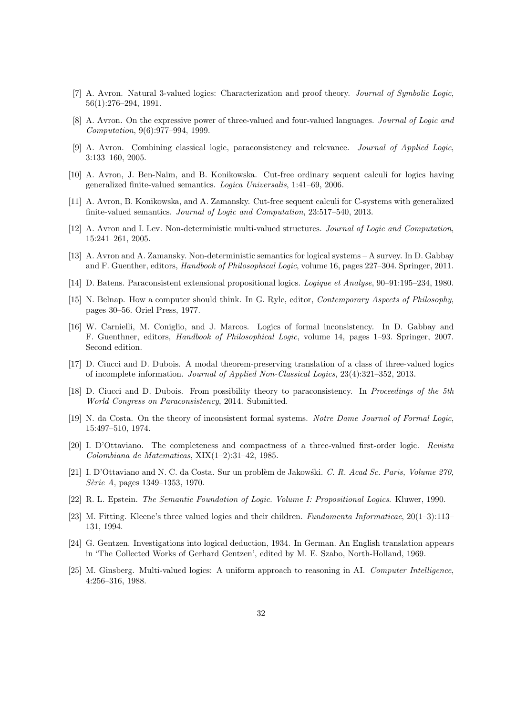- [7] A. Avron. Natural 3-valued logics: Characterization and proof theory. *Journal of Symbolic Logic*, 56(1):276–294, 1991.
- [8] A. Avron. On the expressive power of three-valued and four-valued languages. *Journal of Logic and Computation*, 9(6):977–994, 1999.
- [9] A. Avron. Combining classical logic, paraconsistency and relevance. *Journal of Applied Logic*, 3:133–160, 2005.
- [10] A. Avron, J. Ben-Naim, and B. Konikowska. Cut-free ordinary sequent calculi for logics having generalized finite-valued semantics. *Logica Universalis*, 1:41–69, 2006.
- [11] A. Avron, B. Konikowska, and A. Zamansky. Cut-free sequent calculi for C-systems with generalized finite-valued semantics. *Journal of Logic and Computation*, 23:517–540, 2013.
- [12] A. Avron and I. Lev. Non-deterministic multi-valued structures. *Journal of Logic and Computation*, 15:241–261, 2005.
- [13] A. Avron and A. Zamansky. Non-deterministic semantics for logical systems A survey. In D. Gabbay and F. Guenther, editors, *Handbook of Philosophical Logic*, volume 16, pages 227–304. Springer, 2011.
- [14] D. Batens. Paraconsistent extensional propositional logics. *Logique et Analyse*, 90–91:195–234, 1980.
- [15] N. Belnap. How a computer should think. In G. Ryle, editor, *Contemporary Aspects of Philosophy*, pages 30–56. Oriel Press, 1977.
- [16] W. Carnielli, M. Coniglio, and J. Marcos. Logics of formal inconsistency. In D. Gabbay and F. Guenthner, editors, *Handbook of Philosophical Logic*, volume 14, pages 1–93. Springer, 2007. Second edition.
- [17] D. Ciucci and D. Dubois. A modal theorem-preserving translation of a class of three-valued logics of incomplete information. *Journal of Applied Non-Classical Logics*, 23(4):321–352, 2013.
- [18] D. Ciucci and D. Dubois. From possibility theory to paraconsistency. In *Proceedings of the 5th World Congress on Paraconsistency*, 2014. Submitted.
- [19] N. da Costa. On the theory of inconsistent formal systems. *Notre Dame Journal of Formal Logic*, 15:497–510, 1974.
- [20] I. D'Ottaviano. The completeness and compactness of a three-valued first-order logic. *Revista Colombiana de Matematicas*, XIX(1–2):31–42, 1985.
- [21] I. D'Ottaviano and N. C. da Costa. Sur un probl`em de Jakow´ski. *C. R. Acad Sc. Paris, Volume 270, S`erie A*, pages 1349–1353, 1970.
- [22] R. L. Epstein. *The Semantic Foundation of Logic. Volume I: Propositional Logics*. Kluwer, 1990.
- [23] M. Fitting. Kleene's three valued logics and their children. *Fundamenta Informaticae*, 20(1–3):113– 131, 1994.
- [24] G. Gentzen. Investigations into logical deduction, 1934. In German. An English translation appears in 'The Collected Works of Gerhard Gentzen', edited by M. E. Szabo, North-Holland, 1969.
- [25] M. Ginsberg. Multi-valued logics: A uniform approach to reasoning in AI. *Computer Intelligence*, 4:256–316, 1988.